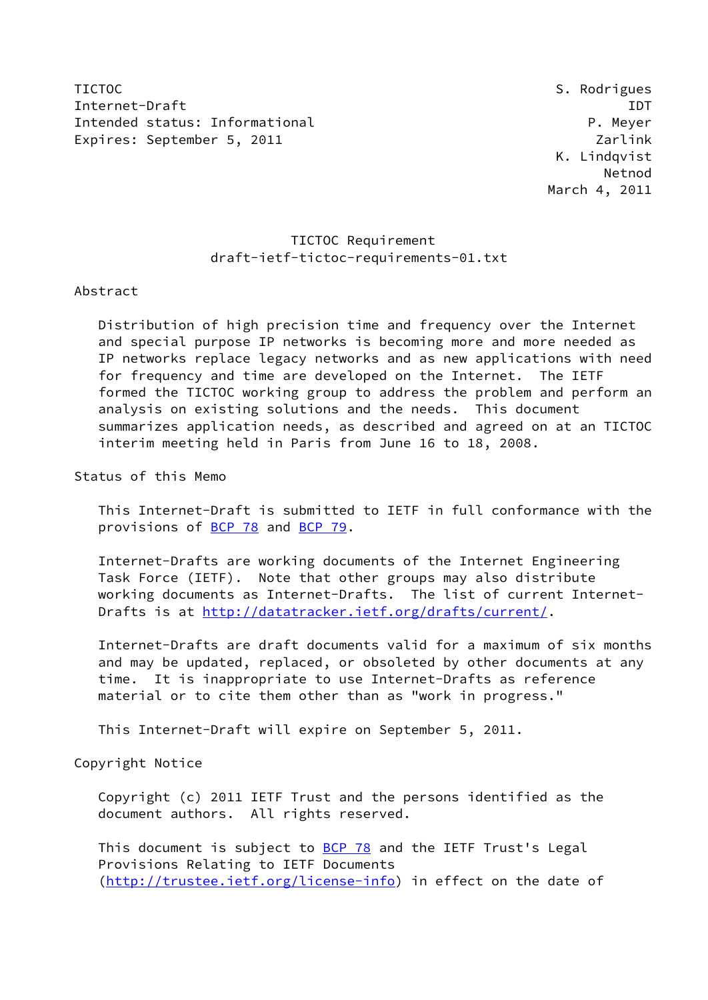TICTOC SAN ALL TICTOC SERVICES IN TICTOC SERVICES SUPERIORS AND SAN ALL TICTOC Internet-Draft IDT Intended status: Informational example and the property of the P. Meyer Expires: September 5, 2011 Zarlink

## TICTOC Requirement draft-ietf-tictoc-requirements-01.txt

### Abstract

 Distribution of high precision time and frequency over the Internet and special purpose IP networks is becoming more and more needed as IP networks replace legacy networks and as new applications with need for frequency and time are developed on the Internet. The IETF formed the TICTOC working group to address the problem and perform an analysis on existing solutions and the needs. This document summarizes application needs, as described and agreed on at an TICTOC interim meeting held in Paris from June 16 to 18, 2008.

Status of this Memo

 This Internet-Draft is submitted to IETF in full conformance with the provisions of [BCP 78](https://datatracker.ietf.org/doc/pdf/bcp78) and [BCP 79](https://datatracker.ietf.org/doc/pdf/bcp79).

 Internet-Drafts are working documents of the Internet Engineering Task Force (IETF). Note that other groups may also distribute working documents as Internet-Drafts. The list of current Internet- Drafts is at<http://datatracker.ietf.org/drafts/current/>.

 Internet-Drafts are draft documents valid for a maximum of six months and may be updated, replaced, or obsoleted by other documents at any time. It is inappropriate to use Internet-Drafts as reference material or to cite them other than as "work in progress."

This Internet-Draft will expire on September 5, 2011.

Copyright Notice

 Copyright (c) 2011 IETF Trust and the persons identified as the document authors. All rights reserved.

This document is subject to **[BCP 78](https://datatracker.ietf.org/doc/pdf/bcp78)** and the IETF Trust's Legal Provisions Relating to IETF Documents [\(http://trustee.ietf.org/license-info](http://trustee.ietf.org/license-info)) in effect on the date of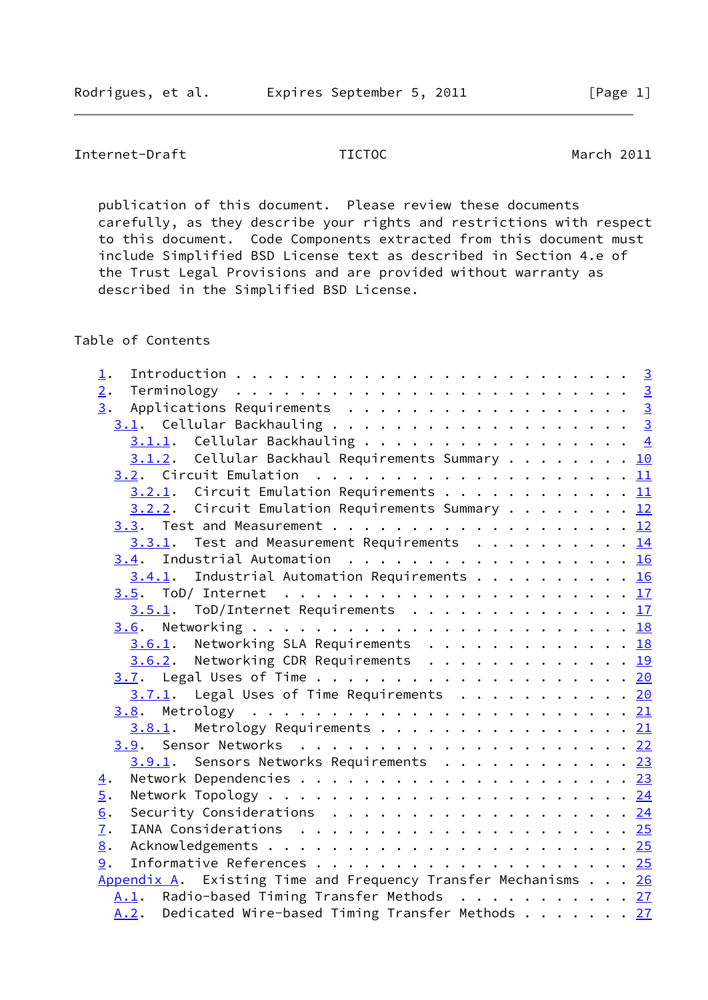Internet-Draft TICTOC March 2011

 publication of this document. Please review these documents carefully, as they describe your rights and restrictions with respect to this document. Code Components extracted from this document must include Simplified BSD License text as described in Section 4.e of the Trust Legal Provisions and are provided without warranty as described in the Simplified BSD License.

Table of Contents

| $1$ .                                                                   |  |  |
|-------------------------------------------------------------------------|--|--|
| 2.                                                                      |  |  |
| Applications Requirements 3<br>3.                                       |  |  |
|                                                                         |  |  |
| $3.1.1.$ Cellular Backhauling 4                                         |  |  |
| $3.1.2$ . Cellular Backhaul Requirements Summary 10                     |  |  |
|                                                                         |  |  |
| $3.2.1$ . Circuit Emulation Requirements 11                             |  |  |
| $3.2.2$ . Circuit Emulation Requirements Summary 12                     |  |  |
|                                                                         |  |  |
| $3.3.1$ . Test and Measurement Requirements 14                          |  |  |
| 3.4. Industrial Automation 16                                           |  |  |
| $3.4.1$ . Industrial Automation Requirements 16                         |  |  |
|                                                                         |  |  |
| $3.5.1$ . ToD/Internet Requirements 17                                  |  |  |
|                                                                         |  |  |
| $3.6.1$ . Networking SLA Requirements 18                                |  |  |
| $3.6.2$ . Networking CDR Requirements 19                                |  |  |
|                                                                         |  |  |
| 3.7.1. Legal Uses of Time Requirements 20                               |  |  |
|                                                                         |  |  |
| $3.8.1$ . Metrology Requirements 21                                     |  |  |
|                                                                         |  |  |
| 3.9.1. Sensors Networks Requirements 23                                 |  |  |
| $\underline{4}$ .                                                       |  |  |
| $\overline{5}$ .                                                        |  |  |
| 6.<br>Security Considerations $\cdots$ 24                               |  |  |
| 7.                                                                      |  |  |
| 8.                                                                      |  |  |
| 9.                                                                      |  |  |
| Appendix A. Existing Time and Frequency Transfer Mechanisms $\ldots$ 26 |  |  |
| A.1. Radio-based Timing Transfer Methods 27                             |  |  |
| Dedicated Wire-based Timing Transfer Methods 27<br>A.2.                 |  |  |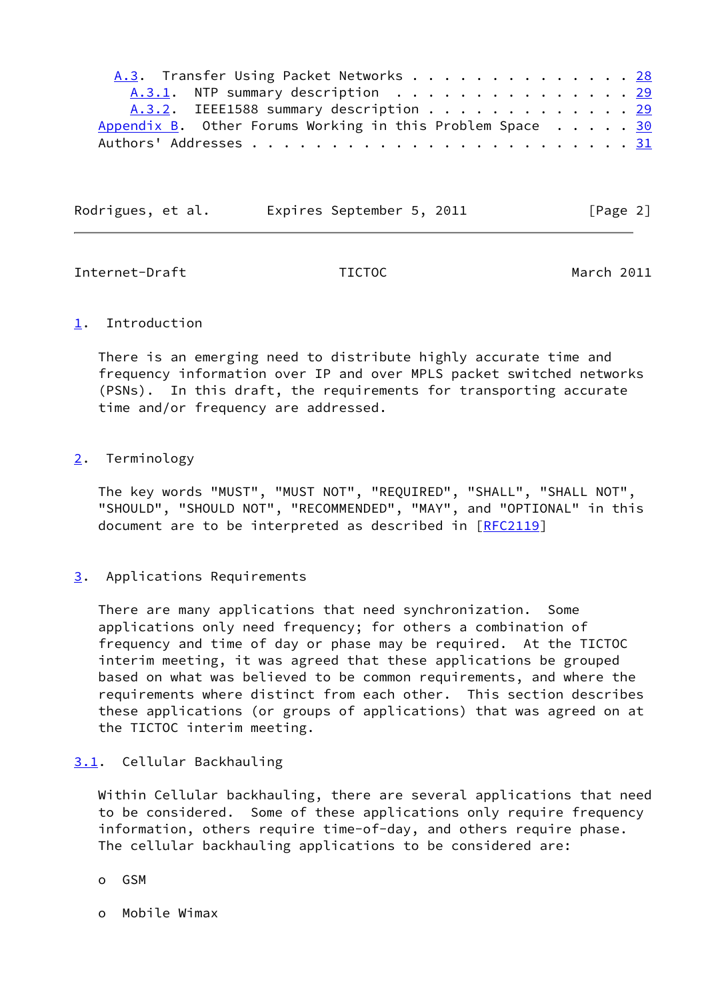| A.3. Transfer Using Packet Networks 28                             |  |  |  |
|--------------------------------------------------------------------|--|--|--|
| A.3.1. NTP summary description 29                                  |  |  |  |
| A.3.2. IEEE1588 summary description 29                             |  |  |  |
| Appendix B. Other Forums Working in this Problem Space $\ldots$ 30 |  |  |  |
|                                                                    |  |  |  |

| Rodrigues, et al. | Expires September 5, 2011 | [Page 2] |
|-------------------|---------------------------|----------|
|                   |                           |          |

<span id="page-2-1"></span>Internet-Draft TICTOC March 2011

## <span id="page-2-0"></span>[1](#page-2-0). Introduction

 There is an emerging need to distribute highly accurate time and frequency information over IP and over MPLS packet switched networks (PSNs). In this draft, the requirements for transporting accurate time and/or frequency are addressed.

# <span id="page-2-2"></span>[2](#page-2-2). Terminology

 The key words "MUST", "MUST NOT", "REQUIRED", "SHALL", "SHALL NOT", "SHOULD", "SHOULD NOT", "RECOMMENDED", "MAY", and "OPTIONAL" in this document are to be interpreted as described in [\[RFC2119](https://datatracker.ietf.org/doc/pdf/rfc2119)]

# <span id="page-2-3"></span>[3](#page-2-3). Applications Requirements

 There are many applications that need synchronization. Some applications only need frequency; for others a combination of frequency and time of day or phase may be required. At the TICTOC interim meeting, it was agreed that these applications be grouped based on what was believed to be common requirements, and where the requirements where distinct from each other. This section describes these applications (or groups of applications) that was agreed on at the TICTOC interim meeting.

# <span id="page-2-4"></span>[3.1](#page-2-4). Cellular Backhauling

 Within Cellular backhauling, there are several applications that need to be considered. Some of these applications only require frequency information, others require time-of-day, and others require phase. The cellular backhauling applications to be considered are:

- o GSM
- o Mobile Wimax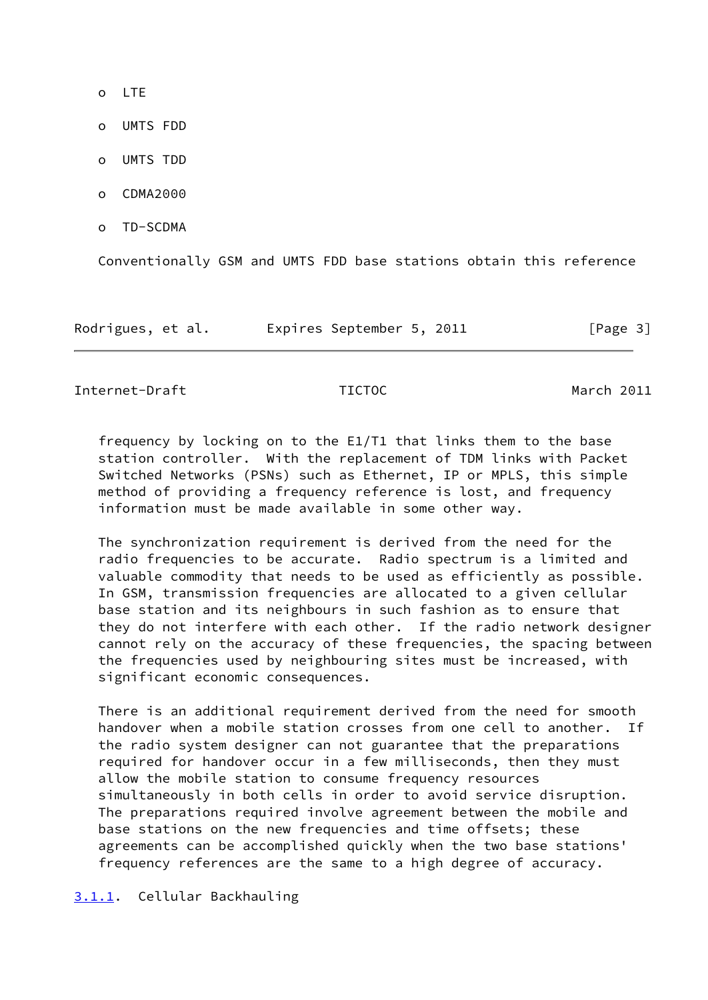- o LTE
- o UMTS FDD
- o UMTS TDD
- o CDMA2000
- o TD-SCDMA

Conventionally GSM and UMTS FDD base stations obtain this reference

| Rodrigues, et al. | Expires September 5, 2011 | [Page 3] |
|-------------------|---------------------------|----------|
|-------------------|---------------------------|----------|

<span id="page-3-1"></span>Internet-Draft TICTOC March 2011

 frequency by locking on to the E1/T1 that links them to the base station controller. With the replacement of TDM links with Packet Switched Networks (PSNs) such as Ethernet, IP or MPLS, this simple method of providing a frequency reference is lost, and frequency information must be made available in some other way.

 The synchronization requirement is derived from the need for the radio frequencies to be accurate. Radio spectrum is a limited and valuable commodity that needs to be used as efficiently as possible. In GSM, transmission frequencies are allocated to a given cellular base station and its neighbours in such fashion as to ensure that they do not interfere with each other. If the radio network designer cannot rely on the accuracy of these frequencies, the spacing between the frequencies used by neighbouring sites must be increased, with significant economic consequences.

 There is an additional requirement derived from the need for smooth handover when a mobile station crosses from one cell to another. If the radio system designer can not guarantee that the preparations required for handover occur in a few milliseconds, then they must allow the mobile station to consume frequency resources simultaneously in both cells in order to avoid service disruption. The preparations required involve agreement between the mobile and base stations on the new frequencies and time offsets; these agreements can be accomplished quickly when the two base stations' frequency references are the same to a high degree of accuracy.

<span id="page-3-0"></span>[3.1.1](#page-3-0). Cellular Backhauling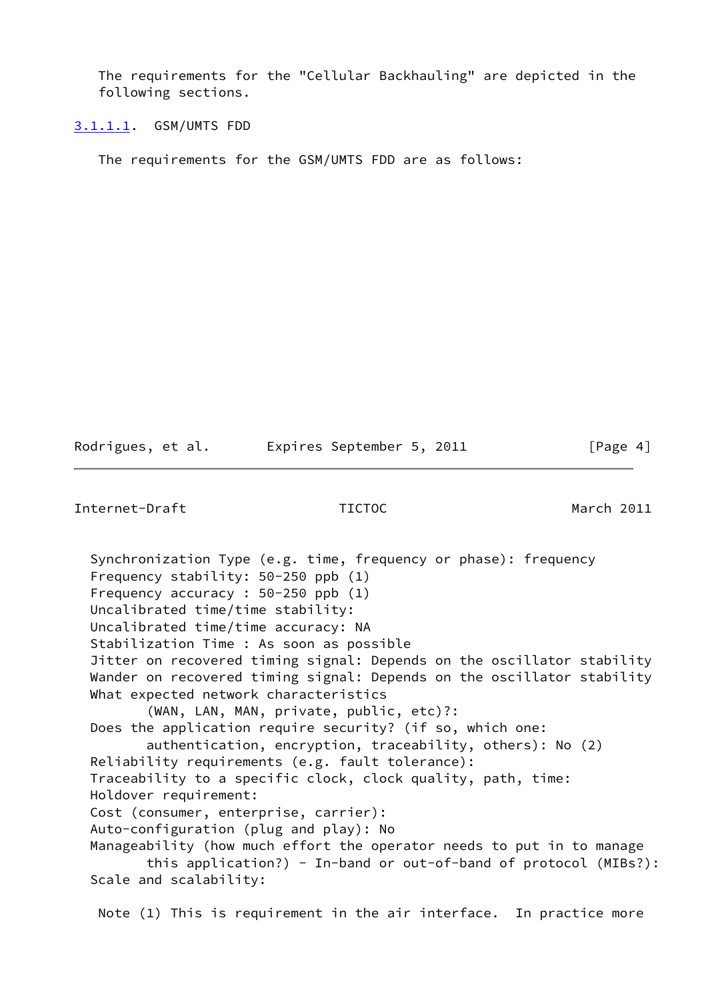The requirements for the "Cellular Backhauling" are depicted in the following sections.

<span id="page-4-0"></span>[3.1.1.1](#page-4-0). GSM/UMTS FDD

The requirements for the GSM/UMTS FDD are as follows:

Rodrigues, et al. Expires September 5, 2011 [Page 4]

Internet-Draft TICTOC March 2011

 Synchronization Type (e.g. time, frequency or phase): frequency Frequency stability: 50-250 ppb (1) Frequency accuracy : 50-250 ppb (1) Uncalibrated time/time stability: Uncalibrated time/time accuracy: NA Stabilization Time : As soon as possible Jitter on recovered timing signal: Depends on the oscillator stability Wander on recovered timing signal: Depends on the oscillator stability What expected network characteristics (WAN, LAN, MAN, private, public, etc)?: Does the application require security? (if so, which one: authentication, encryption, traceability, others): No (2) Reliability requirements (e.g. fault tolerance): Traceability to a specific clock, clock quality, path, time: Holdover requirement: Cost (consumer, enterprise, carrier): Auto-configuration (plug and play): No Manageability (how much effort the operator needs to put in to manage this application?) - In-band or out-of-band of protocol (MIBs?): Scale and scalability: Note (1) This is requirement in the air interface. In practice more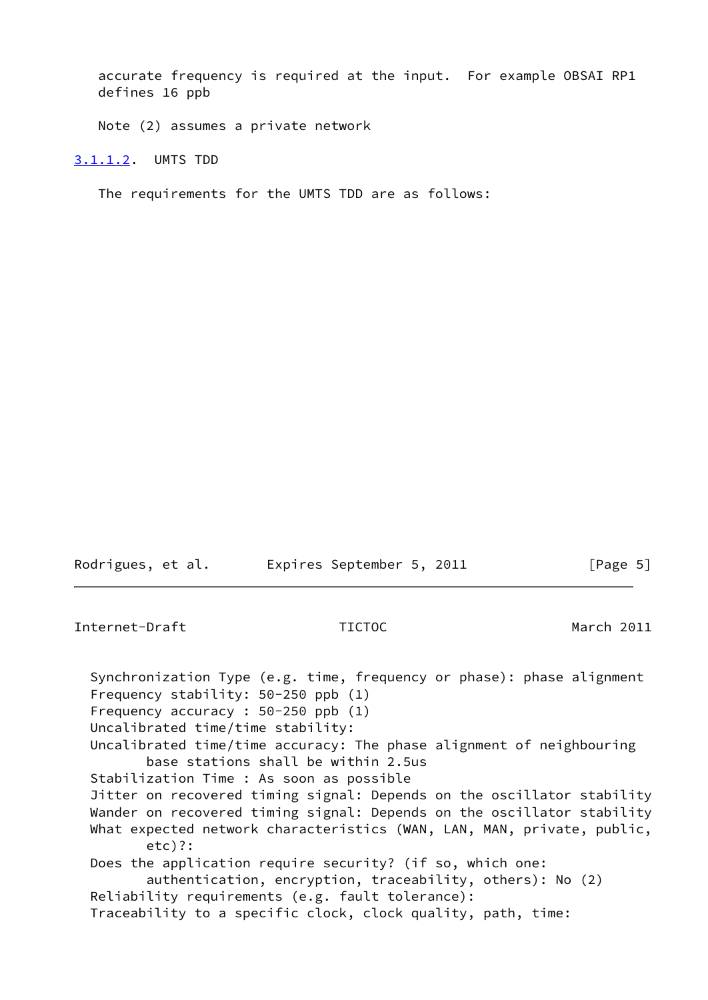accurate frequency is required at the input. For example OBSAI RP1 defines 16 ppb

Note (2) assumes a private network

<span id="page-5-0"></span>[3.1.1.2](#page-5-0). UMTS TDD

The requirements for the UMTS TDD are as follows:

| Rodrigues, et al. | Expires September 5, 2011 | [Page 5] |
|-------------------|---------------------------|----------|

Internet-Draft TICTOC March 2011 Synchronization Type (e.g. time, frequency or phase): phase alignment Frequency stability: 50-250 ppb (1) Frequency accuracy : 50-250 ppb (1) Uncalibrated time/time stability: Uncalibrated time/time accuracy: The phase alignment of neighbouring base stations shall be within 2.5us Stabilization Time : As soon as possible Jitter on recovered timing signal: Depends on the oscillator stability Wander on recovered timing signal: Depends on the oscillator stability What expected network characteristics (WAN, LAN, MAN, private, public, etc)?: Does the application require security? (if so, which one: authentication, encryption, traceability, others): No (2) Reliability requirements (e.g. fault tolerance): Traceability to a specific clock, clock quality, path, time: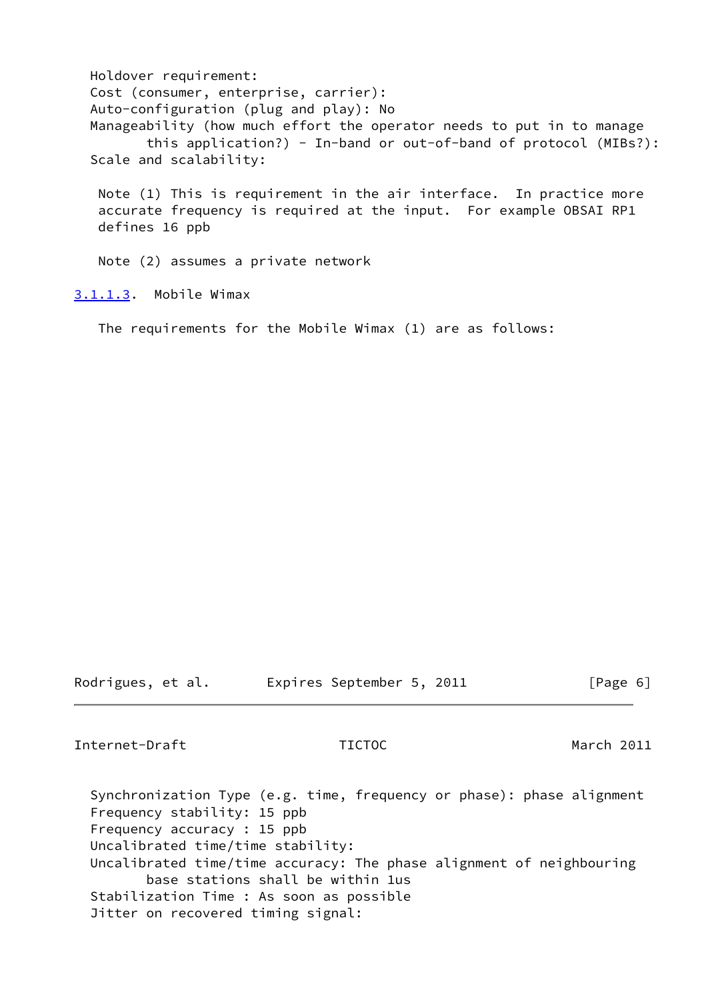Holdover requirement: Cost (consumer, enterprise, carrier): Auto-configuration (plug and play): No Manageability (how much effort the operator needs to put in to manage this application?) - In-band or out-of-band of protocol (MIBs?): Scale and scalability: Note (1) This is requirement in the air interface. In practice more accurate frequency is required at the input. For example OBSAI RP1 defines 16 ppb

Note (2) assumes a private network

<span id="page-6-0"></span>[3.1.1.3](#page-6-0). Mobile Wimax

The requirements for the Mobile Wimax (1) are as follows:

Rodrigues, et al. Expires September 5, 2011 [Page 6]

Internet-Draft TICTOC March 2011

 Synchronization Type (e.g. time, frequency or phase): phase alignment Frequency stability: 15 ppb Frequency accuracy : 15 ppb Uncalibrated time/time stability: Uncalibrated time/time accuracy: The phase alignment of neighbouring base stations shall be within 1us Stabilization Time : As soon as possible Jitter on recovered timing signal: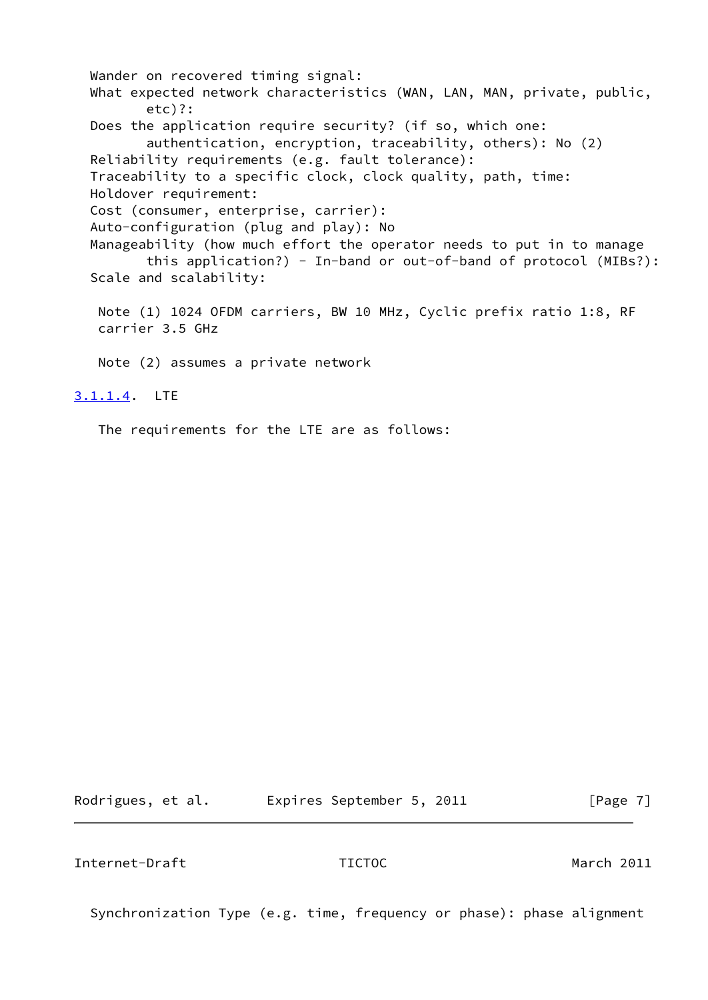Wander on recovered timing signal: What expected network characteristics (WAN, LAN, MAN, private, public, etc)?: Does the application require security? (if so, which one: authentication, encryption, traceability, others): No (2) Reliability requirements (e.g. fault tolerance): Traceability to a specific clock, clock quality, path, time: Holdover requirement: Cost (consumer, enterprise, carrier): Auto-configuration (plug and play): No Manageability (how much effort the operator needs to put in to manage this application?) - In-band or out-of-band of protocol (MIBs?): Scale and scalability: Note (1) 1024 OFDM carriers, BW 10 MHz, Cyclic prefix ratio 1:8, RF carrier 3.5 GHz Note (2) assumes a private network [3.1.1.4](#page-7-0). LTE

<span id="page-7-0"></span>The requirements for the LTE are as follows:

Rodrigues, et al. Expires September 5, 2011 [Page 7]

Internet-Draft TICTOC March 2011

Synchronization Type (e.g. time, frequency or phase): phase alignment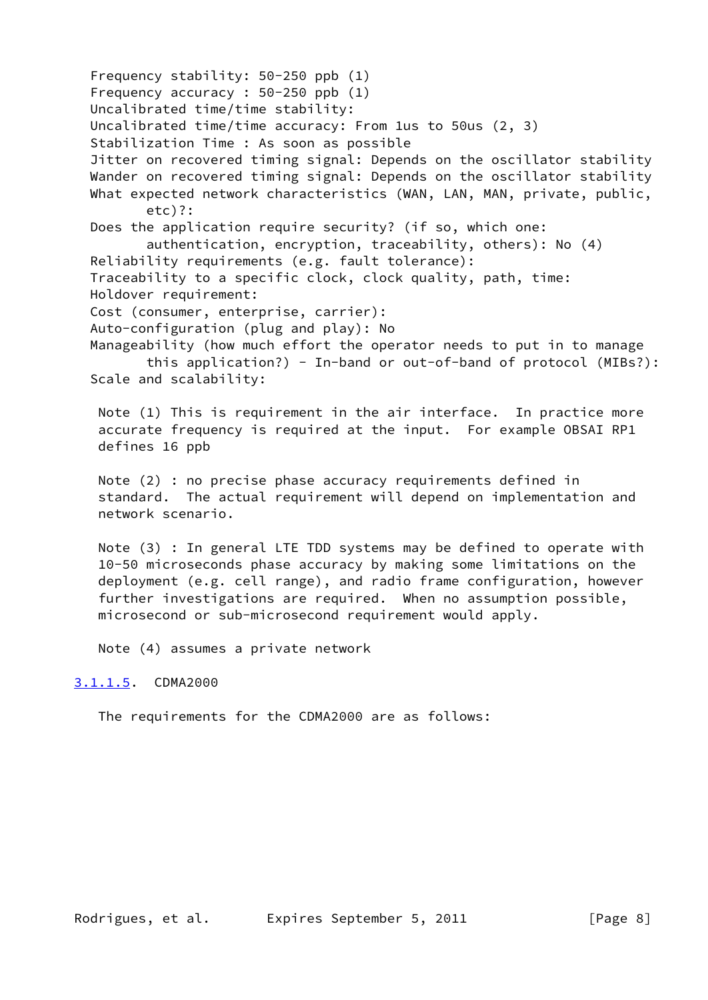Frequency stability: 50-250 ppb (1) Frequency accuracy : 50-250 ppb (1) Uncalibrated time/time stability: Uncalibrated time/time accuracy: From 1us to 50us (2, 3) Stabilization Time : As soon as possible Jitter on recovered timing signal: Depends on the oscillator stability Wander on recovered timing signal: Depends on the oscillator stability What expected network characteristics (WAN, LAN, MAN, private, public, etc)?: Does the application require security? (if so, which one: authentication, encryption, traceability, others): No (4) Reliability requirements (e.g. fault tolerance): Traceability to a specific clock, clock quality, path, time: Holdover requirement: Cost (consumer, enterprise, carrier): Auto-configuration (plug and play): No Manageability (how much effort the operator needs to put in to manage this application?) - In-band or out-of-band of protocol (MIBs?): Scale and scalability: Note (1) This is requirement in the air interface. In practice more accurate frequency is required at the input. For example OBSAI RP1 defines 16 ppb Note (2) : no precise phase accuracy requirements defined in standard. The actual requirement will depend on implementation and network scenario.

 Note (3) : In general LTE TDD systems may be defined to operate with 10-50 microseconds phase accuracy by making some limitations on the deployment (e.g. cell range), and radio frame configuration, however further investigations are required. When no assumption possible, microsecond or sub-microsecond requirement would apply.

Note (4) assumes a private network

### <span id="page-8-0"></span>[3.1.1.5](#page-8-0). CDMA2000

The requirements for the CDMA2000 are as follows: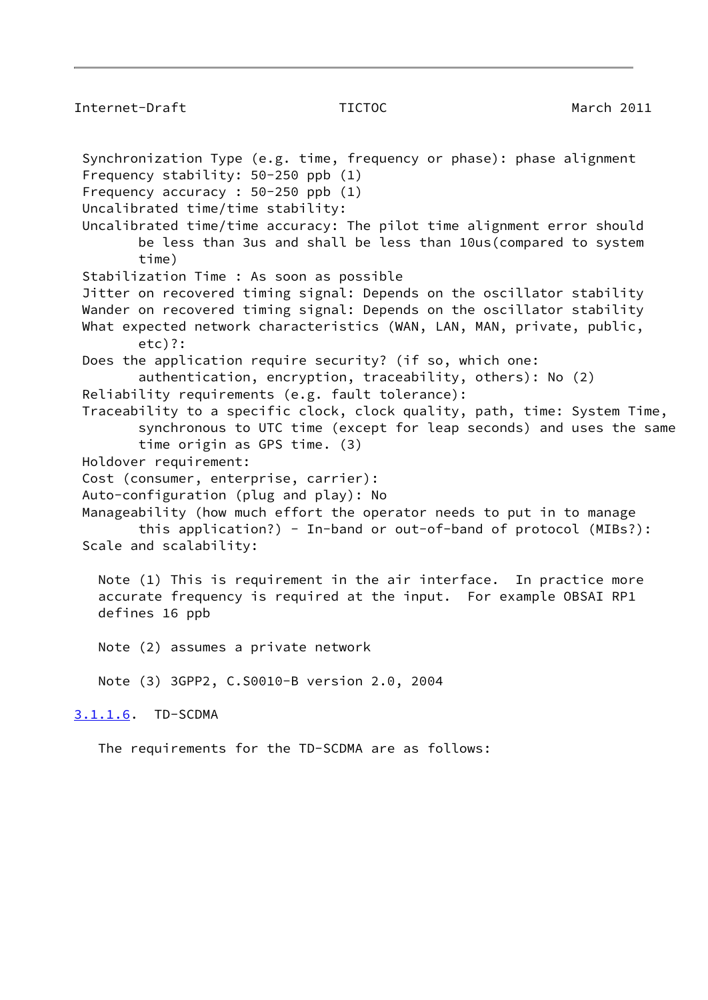## Internet-Draft TICTOC March 2011

<span id="page-9-0"></span> Synchronization Type (e.g. time, frequency or phase): phase alignment Frequency stability: 50-250 ppb (1) Frequency accuracy : 50-250 ppb (1) Uncalibrated time/time stability: Uncalibrated time/time accuracy: The pilot time alignment error should be less than 3us and shall be less than 10us(compared to system time) Stabilization Time : As soon as possible Jitter on recovered timing signal: Depends on the oscillator stability Wander on recovered timing signal: Depends on the oscillator stability What expected network characteristics (WAN, LAN, MAN, private, public, etc)?: Does the application require security? (if so, which one: authentication, encryption, traceability, others): No (2) Reliability requirements (e.g. fault tolerance): Traceability to a specific clock, clock quality, path, time: System Time, synchronous to UTC time (except for leap seconds) and uses the same time origin as GPS time. (3) Holdover requirement: Cost (consumer, enterprise, carrier): Auto-configuration (plug and play): No Manageability (how much effort the operator needs to put in to manage this application?) - In-band or out-of-band of protocol (MIBs?): Scale and scalability: Note (1) This is requirement in the air interface. In practice more accurate frequency is required at the input. For example OBSAI RP1 defines 16 ppb Note (2) assumes a private network Note (3) 3GPP2, C.S0010-B version 2.0, 2004 [3.1.1.6](#page-9-0). TD-SCDMA The requirements for the TD-SCDMA are as follows: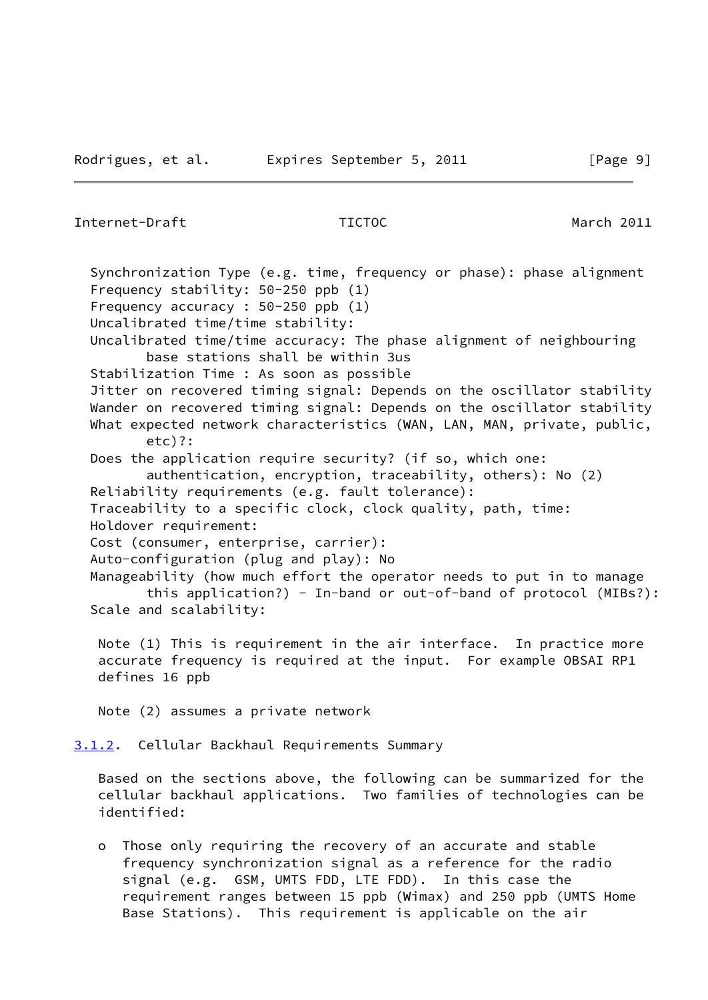<span id="page-10-1"></span><span id="page-10-0"></span>Internet-Draft TICTOC March 2011 Synchronization Type (e.g. time, frequency or phase): phase alignment Frequency stability: 50-250 ppb (1) Frequency accuracy : 50-250 ppb (1) Uncalibrated time/time stability: Uncalibrated time/time accuracy: The phase alignment of neighbouring base stations shall be within 3us Stabilization Time : As soon as possible Jitter on recovered timing signal: Depends on the oscillator stability Wander on recovered timing signal: Depends on the oscillator stability What expected network characteristics (WAN, LAN, MAN, private, public, etc)?: Does the application require security? (if so, which one: authentication, encryption, traceability, others): No (2) Reliability requirements (e.g. fault tolerance): Traceability to a specific clock, clock quality, path, time: Holdover requirement: Cost (consumer, enterprise, carrier): Auto-configuration (plug and play): No Manageability (how much effort the operator needs to put in to manage this application?) - In-band or out-of-band of protocol (MIBs?): Scale and scalability: Note (1) This is requirement in the air interface. In practice more accurate frequency is required at the input. For example OBSAI RP1 defines 16 ppb Note (2) assumes a private network [3.1.2](#page-10-0). Cellular Backhaul Requirements Summary Based on the sections above, the following can be summarized for the cellular backhaul applications. Two families of technologies can be identified: o Those only requiring the recovery of an accurate and stable frequency synchronization signal as a reference for the radio signal (e.g. GSM, UMTS FDD, LTE FDD). In this case the requirement ranges between 15 ppb (Wimax) and 250 ppb (UMTS Home Base Stations). This requirement is applicable on the air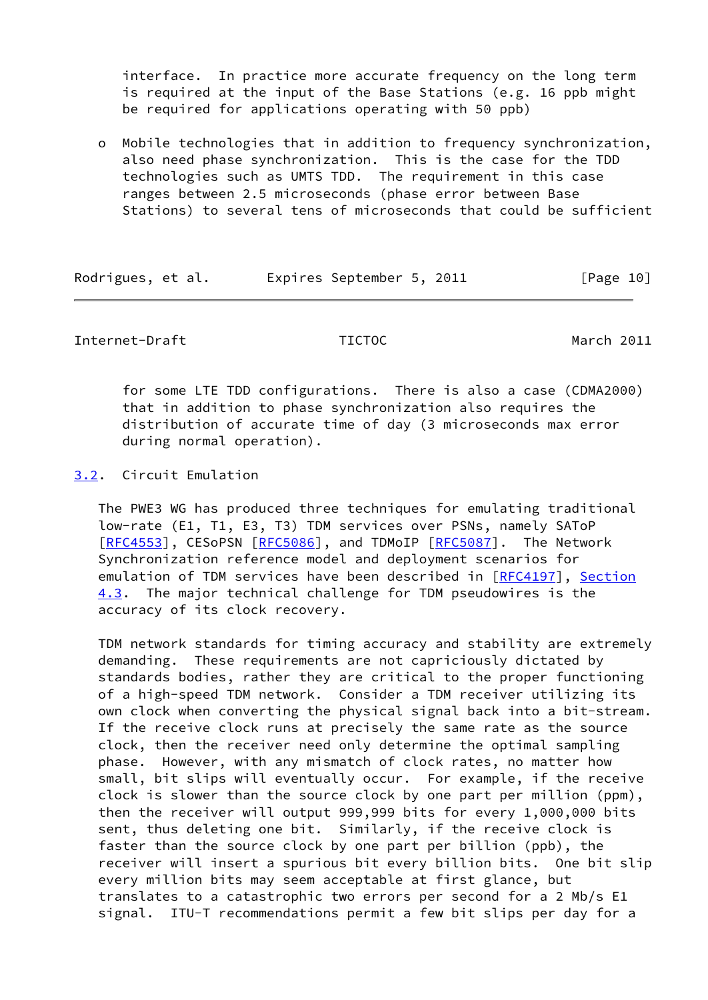interface. In practice more accurate frequency on the long term is required at the input of the Base Stations (e.g. 16 ppb might be required for applications operating with 50 ppb)

 o Mobile technologies that in addition to frequency synchronization, also need phase synchronization. This is the case for the TDD technologies such as UMTS TDD. The requirement in this case ranges between 2.5 microseconds (phase error between Base Stations) to several tens of microseconds that could be sufficient

| Rodrigues, et al. | Expires September 5, 2011 | [Page 10] |
|-------------------|---------------------------|-----------|
|-------------------|---------------------------|-----------|

## <span id="page-11-1"></span>Internet-Draft TICTOC March 2011

 for some LTE TDD configurations. There is also a case (CDMA2000) that in addition to phase synchronization also requires the distribution of accurate time of day (3 microseconds max error during normal operation).

## <span id="page-11-0"></span>[3.2](#page-11-0). Circuit Emulation

 The PWE3 WG has produced three techniques for emulating traditional low-rate (E1, T1, E3, T3) TDM services over PSNs, namely SAToP [\[RFC4553](https://datatracker.ietf.org/doc/pdf/rfc4553)], CESoPSN [[RFC5086\]](https://datatracker.ietf.org/doc/pdf/rfc5086), and TDMoIP [\[RFC5087](https://datatracker.ietf.org/doc/pdf/rfc5087)]. The Network Synchronization reference model and deployment scenarios for emulation of TDM services have been described in [\[RFC4197](https://datatracker.ietf.org/doc/pdf/rfc4197)], Section 4.3. The major technical challenge for TDM pseudowires is the accuracy of its clock recovery.

 TDM network standards for timing accuracy and stability are extremely demanding. These requirements are not capriciously dictated by standards bodies, rather they are critical to the proper functioning of a high-speed TDM network. Consider a TDM receiver utilizing its own clock when converting the physical signal back into a bit-stream. If the receive clock runs at precisely the same rate as the source clock, then the receiver need only determine the optimal sampling phase. However, with any mismatch of clock rates, no matter how small, bit slips will eventually occur. For example, if the receive clock is slower than the source clock by one part per million (ppm), then the receiver will output 999,999 bits for every 1,000,000 bits sent, thus deleting one bit. Similarly, if the receive clock is faster than the source clock by one part per billion (ppb), the receiver will insert a spurious bit every billion bits. One bit slip every million bits may seem acceptable at first glance, but translates to a catastrophic two errors per second for a 2 Mb/s E1 signal. ITU-T recommendations permit a few bit slips per day for a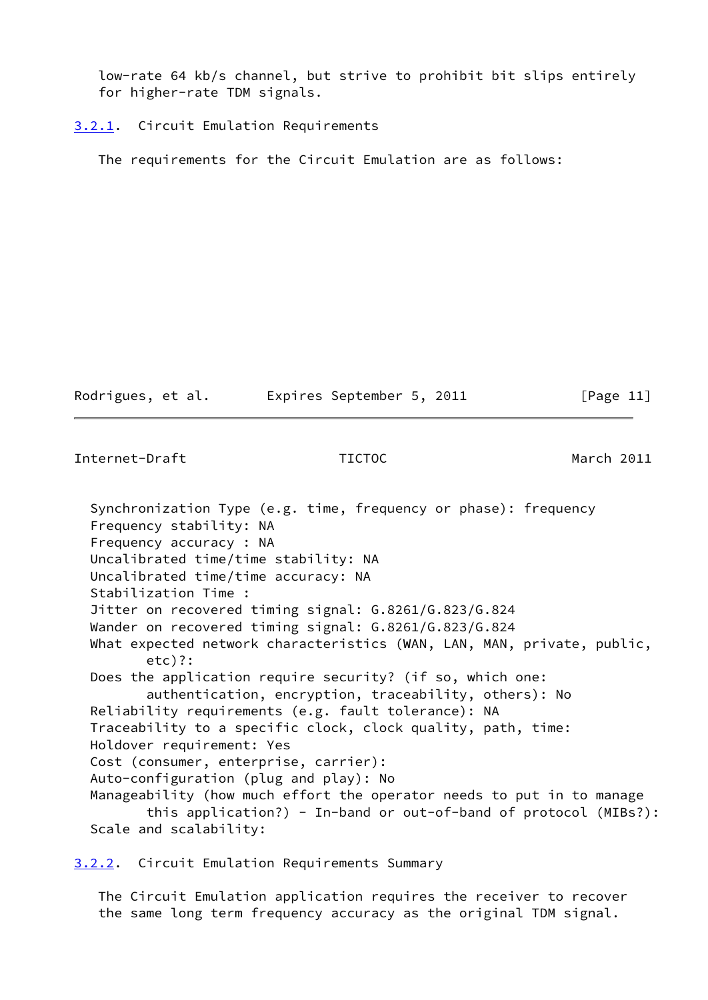low-rate 64 kb/s channel, but strive to prohibit bit slips entirely for higher-rate TDM signals.

<span id="page-12-0"></span>[3.2.1](#page-12-0). Circuit Emulation Requirements

The requirements for the Circuit Emulation are as follows:

Rodrigues, et al. Expires September 5, 2011 [Page 11]

<span id="page-12-2"></span>Internet-Draft TICTOC March 2011

 Synchronization Type (e.g. time, frequency or phase): frequency Frequency stability: NA Frequency accuracy : NA Uncalibrated time/time stability: NA Uncalibrated time/time accuracy: NA Stabilization Time : Jitter on recovered timing signal: G.8261/G.823/G.824 Wander on recovered timing signal: G.8261/G.823/G.824 What expected network characteristics (WAN, LAN, MAN, private, public, etc)?: Does the application require security? (if so, which one: authentication, encryption, traceability, others): No Reliability requirements (e.g. fault tolerance): NA Traceability to a specific clock, clock quality, path, time: Holdover requirement: Yes Cost (consumer, enterprise, carrier): Auto-configuration (plug and play): No Manageability (how much effort the operator needs to put in to manage this application?) - In-band or out-of-band of protocol (MIBs?): Scale and scalability:

<span id="page-12-1"></span>[3.2.2](#page-12-1). Circuit Emulation Requirements Summary

 The Circuit Emulation application requires the receiver to recover the same long term frequency accuracy as the original TDM signal.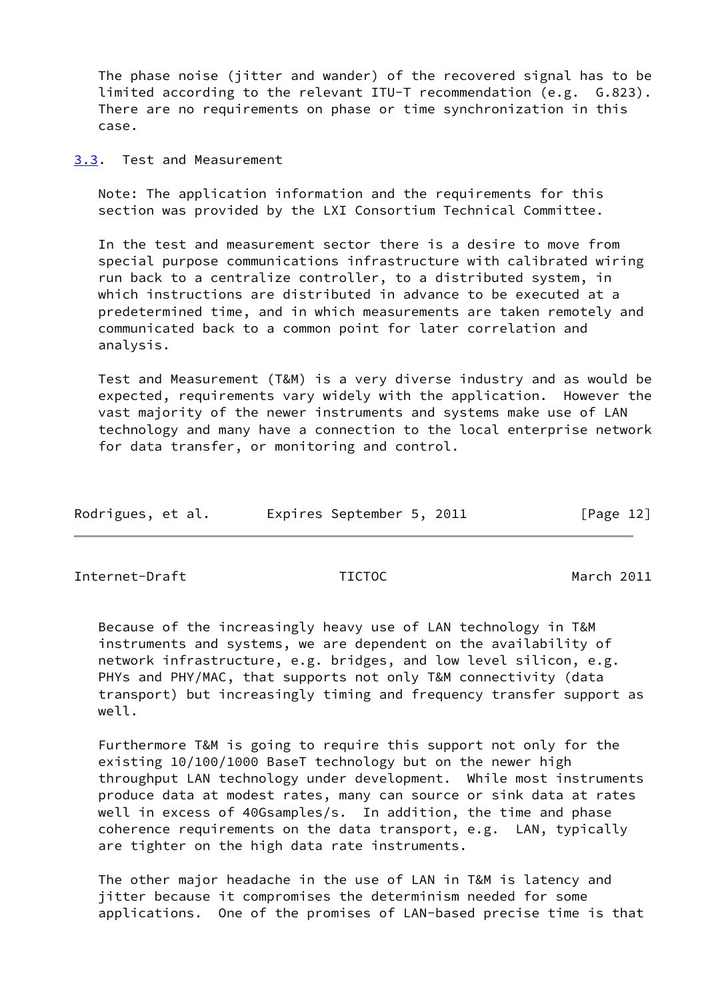The phase noise (jitter and wander) of the recovered signal has to be limited according to the relevant ITU-T recommendation (e.g. G.823). There are no requirements on phase or time synchronization in this case.

<span id="page-13-0"></span>[3.3](#page-13-0). Test and Measurement

 Note: The application information and the requirements for this section was provided by the LXI Consortium Technical Committee.

 In the test and measurement sector there is a desire to move from special purpose communications infrastructure with calibrated wiring run back to a centralize controller, to a distributed system, in which instructions are distributed in advance to be executed at a predetermined time, and in which measurements are taken remotely and communicated back to a common point for later correlation and analysis.

 Test and Measurement (T&M) is a very diverse industry and as would be expected, requirements vary widely with the application. However the vast majority of the newer instruments and systems make use of LAN technology and many have a connection to the local enterprise network for data transfer, or monitoring and control.

| Expires September 5, 2011<br>[Page 12] | Rodrigues, et al. |  |  |  |  |  |  |  |  |
|----------------------------------------|-------------------|--|--|--|--|--|--|--|--|
|----------------------------------------|-------------------|--|--|--|--|--|--|--|--|

Internet-Draft TICTOC March 2011

 Because of the increasingly heavy use of LAN technology in T&M instruments and systems, we are dependent on the availability of network infrastructure, e.g. bridges, and low level silicon, e.g. PHYs and PHY/MAC, that supports not only T&M connectivity (data transport) but increasingly timing and frequency transfer support as well.

 Furthermore T&M is going to require this support not only for the existing 10/100/1000 BaseT technology but on the newer high throughput LAN technology under development. While most instruments produce data at modest rates, many can source or sink data at rates well in excess of 40Gsamples/s. In addition, the time and phase coherence requirements on the data transport, e.g. LAN, typically are tighter on the high data rate instruments.

 The other major headache in the use of LAN in T&M is latency and jitter because it compromises the determinism needed for some applications. One of the promises of LAN-based precise time is that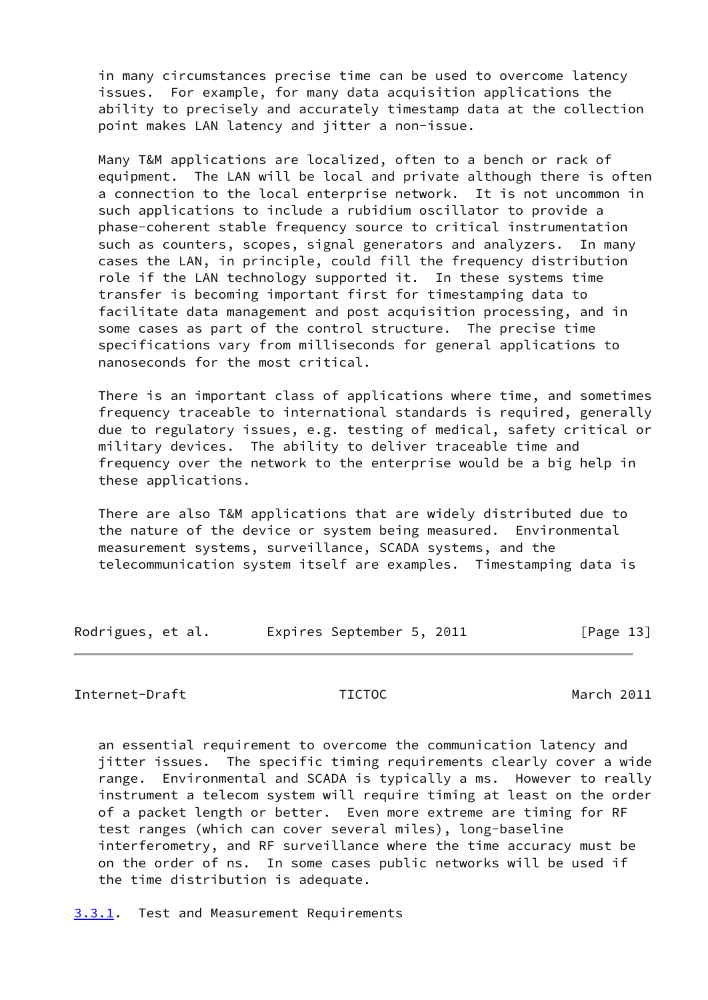in many circumstances precise time can be used to overcome latency issues. For example, for many data acquisition applications the ability to precisely and accurately timestamp data at the collection point makes LAN latency and jitter a non-issue.

 Many T&M applications are localized, often to a bench or rack of equipment. The LAN will be local and private although there is often a connection to the local enterprise network. It is not uncommon in such applications to include a rubidium oscillator to provide a phase-coherent stable frequency source to critical instrumentation such as counters, scopes, signal generators and analyzers. In many cases the LAN, in principle, could fill the frequency distribution role if the LAN technology supported it. In these systems time transfer is becoming important first for timestamping data to facilitate data management and post acquisition processing, and in some cases as part of the control structure. The precise time specifications vary from milliseconds for general applications to nanoseconds for the most critical.

 There is an important class of applications where time, and sometimes frequency traceable to international standards is required, generally due to regulatory issues, e.g. testing of medical, safety critical or military devices. The ability to deliver traceable time and frequency over the network to the enterprise would be a big help in these applications.

 There are also T&M applications that are widely distributed due to the nature of the device or system being measured. Environmental measurement systems, surveillance, SCADA systems, and the telecommunication system itself are examples. Timestamping data is

Rodrigues, et al. Expires September 5, 2011 [Page 13]

### <span id="page-14-1"></span>Internet-Draft TICTOC March 2011

 an essential requirement to overcome the communication latency and jitter issues. The specific timing requirements clearly cover a wide range. Environmental and SCADA is typically a ms. However to really instrument a telecom system will require timing at least on the order of a packet length or better. Even more extreme are timing for RF test ranges (which can cover several miles), long-baseline interferometry, and RF surveillance where the time accuracy must be on the order of ns. In some cases public networks will be used if the time distribution is adequate.

<span id="page-14-0"></span>[3.3.1](#page-14-0). Test and Measurement Requirements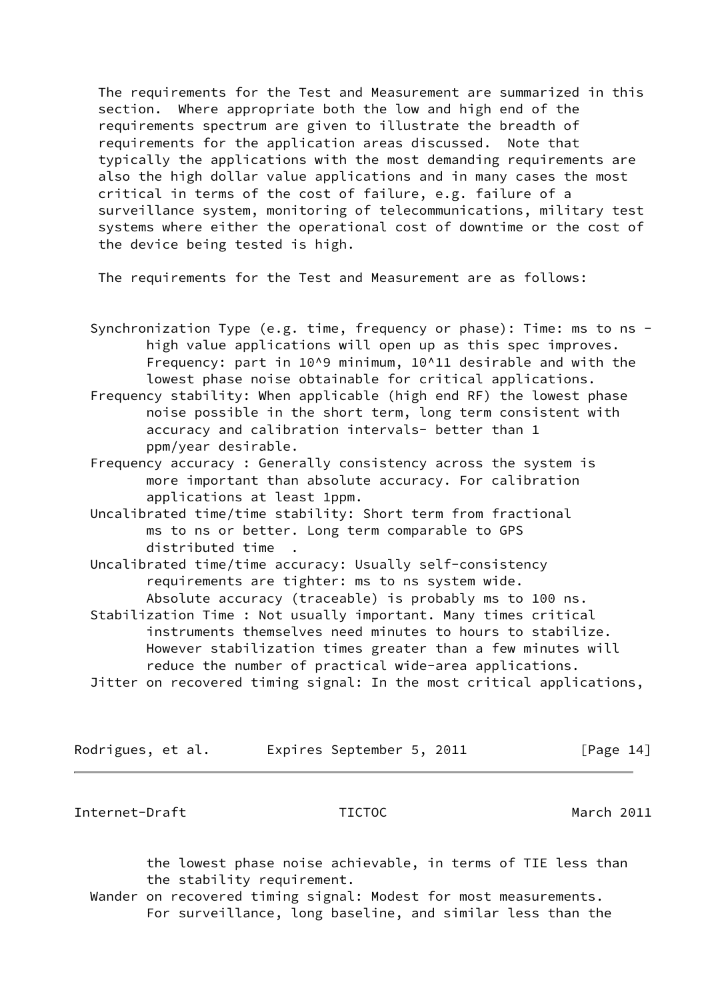The requirements for the Test and Measurement are summarized in this section. Where appropriate both the low and high end of the requirements spectrum are given to illustrate the breadth of requirements for the application areas discussed. Note that typically the applications with the most demanding requirements are also the high dollar value applications and in many cases the most critical in terms of the cost of failure, e.g. failure of a surveillance system, monitoring of telecommunications, military test systems where either the operational cost of downtime or the cost of the device being tested is high.

The requirements for the Test and Measurement are as follows:

- Synchronization Type (e.g. time, frequency or phase): Time: ms to ns high value applications will open up as this spec improves. Frequency: part in 10^9 minimum, 10^11 desirable and with the lowest phase noise obtainable for critical applications.
- Frequency stability: When applicable (high end RF) the lowest phase noise possible in the short term, long term consistent with accuracy and calibration intervals- better than 1 ppm/year desirable.
- Frequency accuracy : Generally consistency across the system is more important than absolute accuracy. For calibration applications at least 1ppm.
- Uncalibrated time/time stability: Short term from fractional ms to ns or better. Long term comparable to GPS distributed time .

 Uncalibrated time/time accuracy: Usually self-consistency requirements are tighter: ms to ns system wide. Absolute accuracy (traceable) is probably ms to 100 ns.

 Stabilization Time : Not usually important. Many times critical instruments themselves need minutes to hours to stabilize. However stabilization times greater than a few minutes will reduce the number of practical wide-area applications. Jitter on recovered timing signal: In the most critical applications,

| Rodrigues, et al. | Expires September 5, 2011 |  | [Page 14] |
|-------------------|---------------------------|--|-----------|
|-------------------|---------------------------|--|-----------|

Internet-Draft TICTOC March 2011

 the lowest phase noise achievable, in terms of TIE less than the stability requirement.

 Wander on recovered timing signal: Modest for most measurements. For surveillance, long baseline, and similar less than the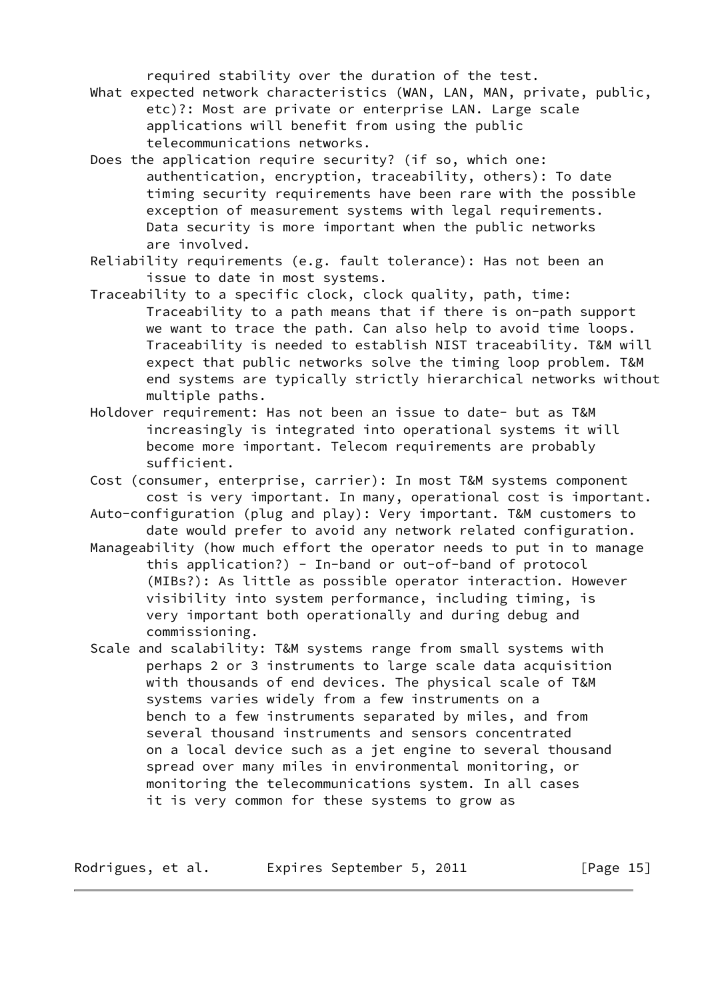required stability over the duration of the test.

- What expected network characteristics (WAN, LAN, MAN, private, public, etc)?: Most are private or enterprise LAN. Large scale applications will benefit from using the public telecommunications networks.
- Does the application require security? (if so, which one: authentication, encryption, traceability, others): To date timing security requirements have been rare with the possible exception of measurement systems with legal requirements. Data security is more important when the public networks are involved.
- Reliability requirements (e.g. fault tolerance): Has not been an issue to date in most systems.
- Traceability to a specific clock, clock quality, path, time: Traceability to a path means that if there is on-path support we want to trace the path. Can also help to avoid time loops. Traceability is needed to establish NIST traceability. T&M will expect that public networks solve the timing loop problem. T&M end systems are typically strictly hierarchical networks without multiple paths.
- Holdover requirement: Has not been an issue to date- but as T&M increasingly is integrated into operational systems it will become more important. Telecom requirements are probably sufficient.
- Cost (consumer, enterprise, carrier): In most T&M systems component cost is very important. In many, operational cost is important.
- Auto-configuration (plug and play): Very important. T&M customers to date would prefer to avoid any network related configuration.
- Manageability (how much effort the operator needs to put in to manage this application?) - In-band or out-of-band of protocol (MIBs?): As little as possible operator interaction. However visibility into system performance, including timing, is very important both operationally and during debug and commissioning.
- Scale and scalability: T&M systems range from small systems with perhaps 2 or 3 instruments to large scale data acquisition with thousands of end devices. The physical scale of T&M systems varies widely from a few instruments on a bench to a few instruments separated by miles, and from several thousand instruments and sensors concentrated on a local device such as a jet engine to several thousand spread over many miles in environmental monitoring, or monitoring the telecommunications system. In all cases it is very common for these systems to grow as

Rodrigues, et al. Expires September 5, 2011 [Page 15]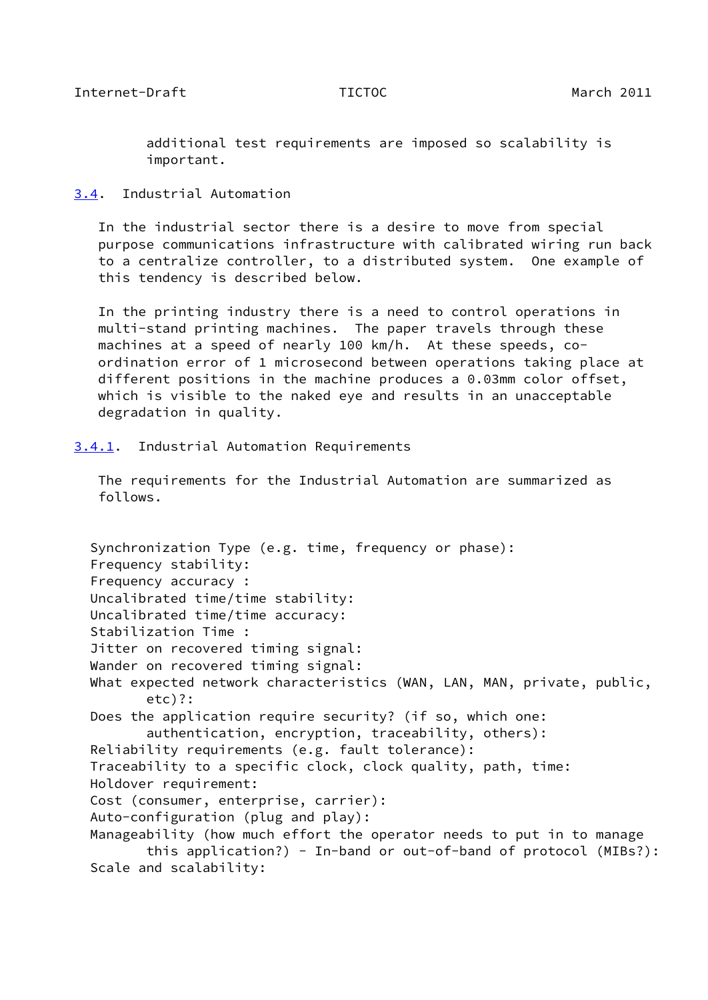<span id="page-17-1"></span> additional test requirements are imposed so scalability is important.

## <span id="page-17-0"></span>[3.4](#page-17-0). Industrial Automation

 In the industrial sector there is a desire to move from special purpose communications infrastructure with calibrated wiring run back to a centralize controller, to a distributed system. One example of this tendency is described below.

 In the printing industry there is a need to control operations in multi-stand printing machines. The paper travels through these machines at a speed of nearly 100 km/h. At these speeds, co ordination error of 1 microsecond between operations taking place at different positions in the machine produces a 0.03mm color offset, which is visible to the naked eye and results in an unacceptable degradation in quality.

<span id="page-17-2"></span>[3.4.1](#page-17-2). Industrial Automation Requirements

 The requirements for the Industrial Automation are summarized as follows.

 Synchronization Type (e.g. time, frequency or phase): Frequency stability: Frequency accuracy : Uncalibrated time/time stability: Uncalibrated time/time accuracy: Stabilization Time : Jitter on recovered timing signal: Wander on recovered timing signal: What expected network characteristics (WAN, LAN, MAN, private, public, etc)?: Does the application require security? (if so, which one: authentication, encryption, traceability, others): Reliability requirements (e.g. fault tolerance): Traceability to a specific clock, clock quality, path, time: Holdover requirement: Cost (consumer, enterprise, carrier): Auto-configuration (plug and play): Manageability (how much effort the operator needs to put in to manage this application?) - In-band or out-of-band of protocol (MIBs?): Scale and scalability: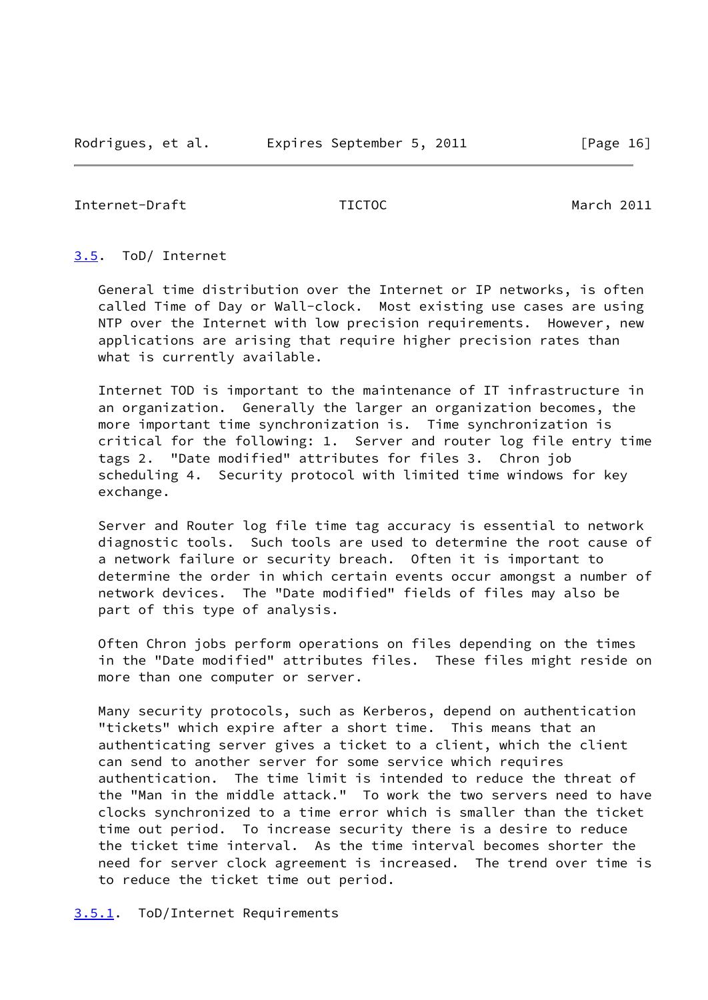<span id="page-18-1"></span>Internet-Draft TICTOC March 2011

## <span id="page-18-0"></span>[3.5](#page-18-0). ToD/ Internet

 General time distribution over the Internet or IP networks, is often called Time of Day or Wall-clock. Most existing use cases are using NTP over the Internet with low precision requirements. However, new applications are arising that require higher precision rates than what is currently available.

 Internet TOD is important to the maintenance of IT infrastructure in an organization. Generally the larger an organization becomes, the more important time synchronization is. Time synchronization is critical for the following: 1. Server and router log file entry time tags 2. "Date modified" attributes for files 3. Chron job scheduling 4. Security protocol with limited time windows for key exchange.

 Server and Router log file time tag accuracy is essential to network diagnostic tools. Such tools are used to determine the root cause of a network failure or security breach. Often it is important to determine the order in which certain events occur amongst a number of network devices. The "Date modified" fields of files may also be part of this type of analysis.

 Often Chron jobs perform operations on files depending on the times in the "Date modified" attributes files. These files might reside on more than one computer or server.

 Many security protocols, such as Kerberos, depend on authentication "tickets" which expire after a short time. This means that an authenticating server gives a ticket to a client, which the client can send to another server for some service which requires authentication. The time limit is intended to reduce the threat of the "Man in the middle attack." To work the two servers need to have clocks synchronized to a time error which is smaller than the ticket time out period. To increase security there is a desire to reduce the ticket time interval. As the time interval becomes shorter the need for server clock agreement is increased. The trend over time is to reduce the ticket time out period.

<span id="page-18-2"></span>[3.5.1](#page-18-2). ToD/Internet Requirements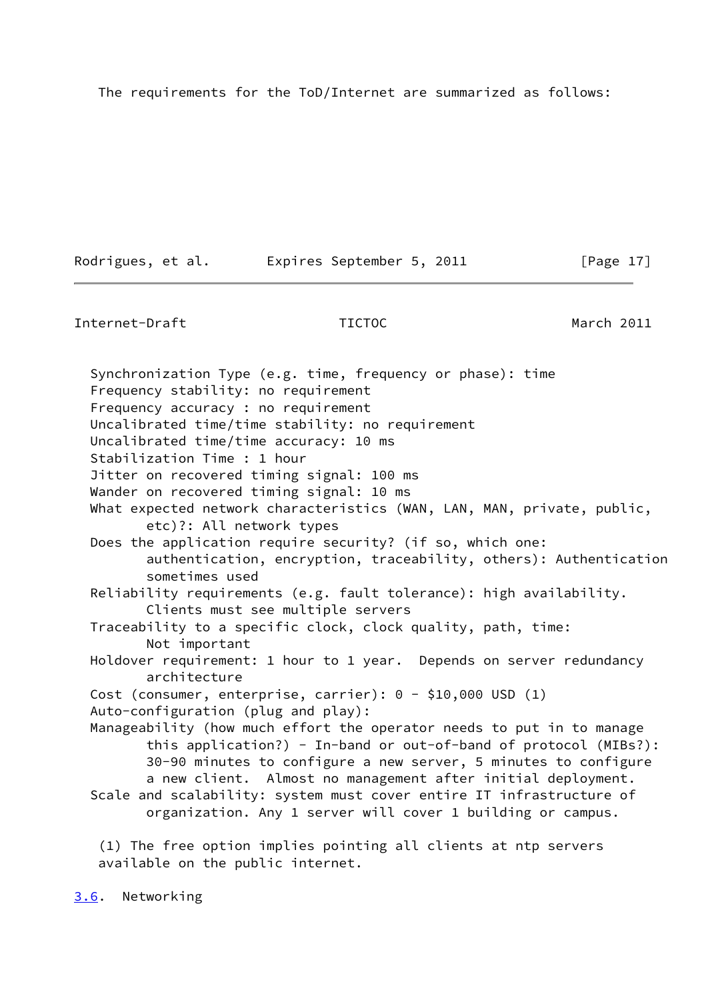The requirements for the ToD/Internet are summarized as follows:

Rodrigues, et al. Expires September 5, 2011 [Page 17]

<span id="page-19-1"></span>Internet-Draft TICTOC March 2011

 Synchronization Type (e.g. time, frequency or phase): time Frequency stability: no requirement Frequency accuracy : no requirement Uncalibrated time/time stability: no requirement Uncalibrated time/time accuracy: 10 ms Stabilization Time : 1 hour Jitter on recovered timing signal: 100 ms Wander on recovered timing signal: 10 ms What expected network characteristics (WAN, LAN, MAN, private, public, etc)?: All network types Does the application require security? (if so, which one: authentication, encryption, traceability, others): Authentication sometimes used Reliability requirements (e.g. fault tolerance): high availability. Clients must see multiple servers Traceability to a specific clock, clock quality, path, time: Not important Holdover requirement: 1 hour to 1 year. Depends on server redundancy architecture Cost (consumer, enterprise, carrier): 0 - \$10,000 USD (1) Auto-configuration (plug and play): Manageability (how much effort the operator needs to put in to manage this application?) - In-band or out-of-band of protocol (MIBs?): 30-90 minutes to configure a new server, 5 minutes to configure a new client. Almost no management after initial deployment. Scale and scalability: system must cover entire IT infrastructure of organization. Any 1 server will cover 1 building or campus.

 (1) The free option implies pointing all clients at ntp servers available on the public internet.

<span id="page-19-0"></span>[3.6](#page-19-0). Networking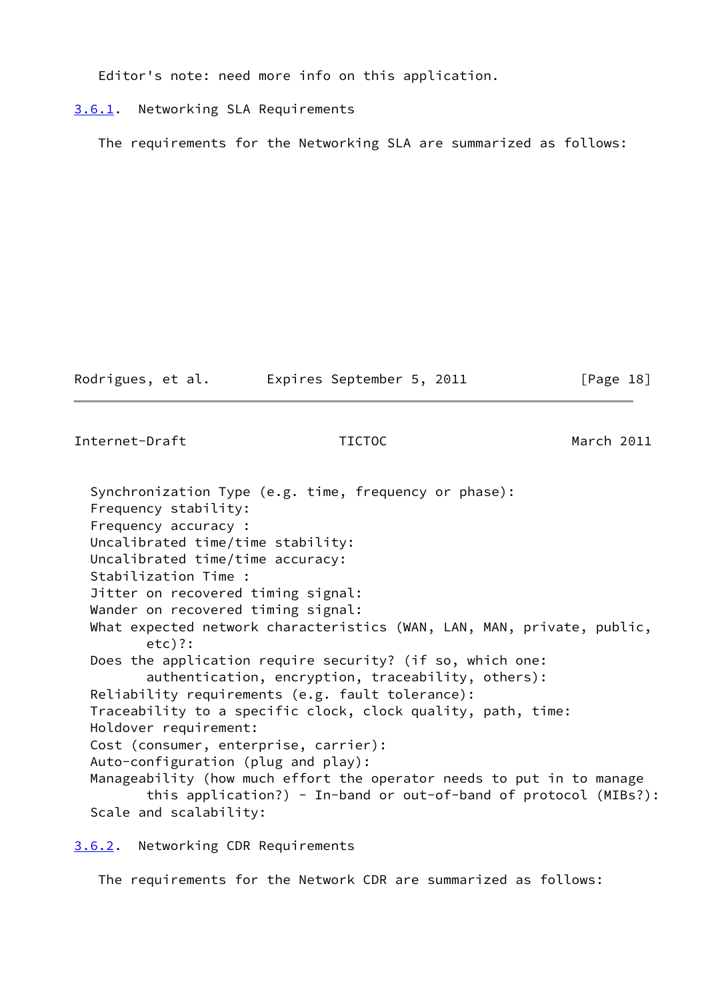Editor's note: need more info on this application.

### <span id="page-20-0"></span>[3.6.1](#page-20-0). Networking SLA Requirements

The requirements for the Networking SLA are summarized as follows:

Rodrigues, et al. Expires September 5, 2011 [Page 18]

<span id="page-20-2"></span>Internet-Draft TICTOC March 2011

 Synchronization Type (e.g. time, frequency or phase): Frequency stability: Frequency accuracy : Uncalibrated time/time stability: Uncalibrated time/time accuracy: Stabilization Time : Jitter on recovered timing signal: Wander on recovered timing signal: What expected network characteristics (WAN, LAN, MAN, private, public, etc)?: Does the application require security? (if so, which one: authentication, encryption, traceability, others): Reliability requirements (e.g. fault tolerance): Traceability to a specific clock, clock quality, path, time: Holdover requirement: Cost (consumer, enterprise, carrier): Auto-configuration (plug and play): Manageability (how much effort the operator needs to put in to manage this application?) - In-band or out-of-band of protocol (MIBs?): Scale and scalability:

<span id="page-20-1"></span>[3.6.2](#page-20-1). Networking CDR Requirements

The requirements for the Network CDR are summarized as follows: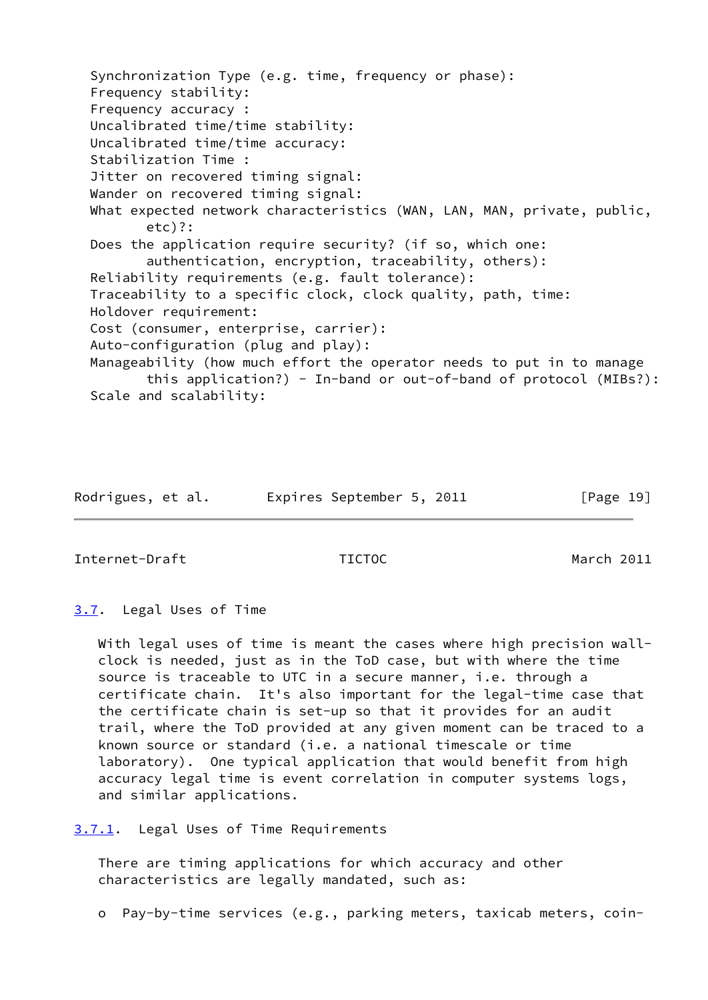Synchronization Type (e.g. time, frequency or phase): Frequency stability: Frequency accuracy : Uncalibrated time/time stability: Uncalibrated time/time accuracy: Stabilization Time : Jitter on recovered timing signal: Wander on recovered timing signal: What expected network characteristics (WAN, LAN, MAN, private, public, etc)?: Does the application require security? (if so, which one: authentication, encryption, traceability, others): Reliability requirements (e.g. fault tolerance): Traceability to a specific clock, clock quality, path, time: Holdover requirement: Cost (consumer, enterprise, carrier): Auto-configuration (plug and play): Manageability (how much effort the operator needs to put in to manage this application?) - In-band or out-of-band of protocol (MIBs?): Scale and scalability:

| Rodrigues, et al. | Expires September 5, 2011 | [Page 19] |
|-------------------|---------------------------|-----------|
|-------------------|---------------------------|-----------|

<span id="page-21-1"></span>Internet-Draft TICTOC March 2011

<span id="page-21-0"></span>[3.7](#page-21-0). Legal Uses of Time

With legal uses of time is meant the cases where high precision wall clock is needed, just as in the ToD case, but with where the time source is traceable to UTC in a secure manner, i.e. through a certificate chain. It's also important for the legal-time case that the certificate chain is set-up so that it provides for an audit trail, where the ToD provided at any given moment can be traced to a known source or standard (i.e. a national timescale or time laboratory). One typical application that would benefit from high accuracy legal time is event correlation in computer systems logs, and similar applications.

<span id="page-21-2"></span>[3.7.1](#page-21-2). Legal Uses of Time Requirements

 There are timing applications for which accuracy and other characteristics are legally mandated, such as:

o Pay-by-time services (e.g., parking meters, taxicab meters, coin-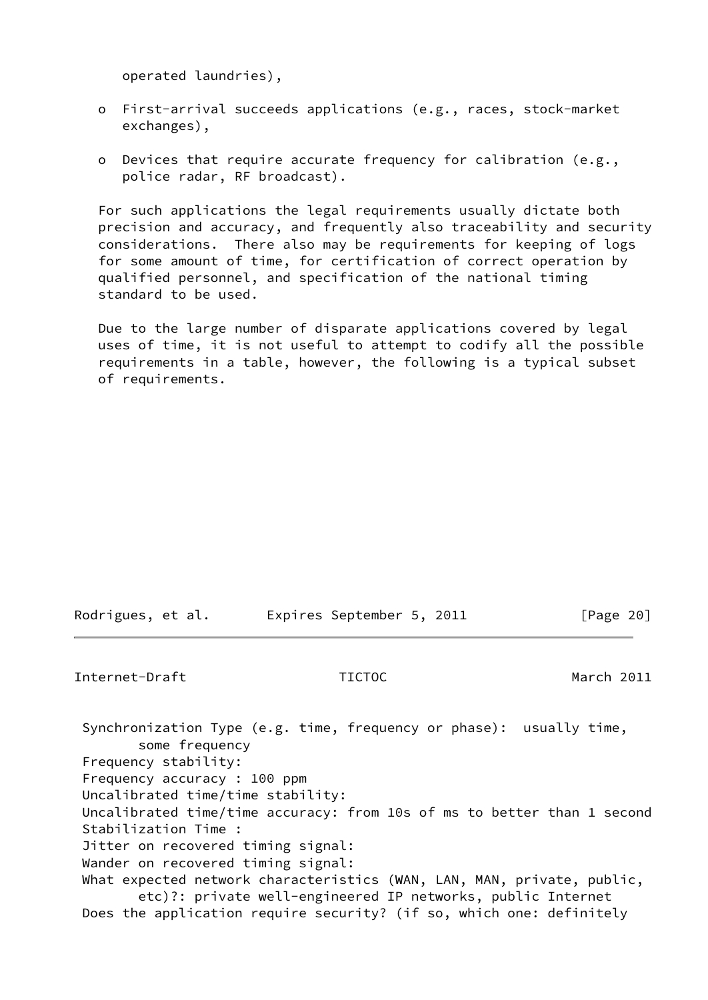operated laundries),

- o First-arrival succeeds applications (e.g., races, stock-market exchanges),
- o Devices that require accurate frequency for calibration (e.g., police radar, RF broadcast).

 For such applications the legal requirements usually dictate both precision and accuracy, and frequently also traceability and security considerations. There also may be requirements for keeping of logs for some amount of time, for certification of correct operation by qualified personnel, and specification of the national timing standard to be used.

 Due to the large number of disparate applications covered by legal uses of time, it is not useful to attempt to codify all the possible requirements in a table, however, the following is a typical subset of requirements.

| Rodrigues, et al. |  | Expires September 5, 2011 |  | [Page 20] |
|-------------------|--|---------------------------|--|-----------|
|                   |  |                           |  |           |

## <span id="page-22-0"></span>Internet-Draft TICTOC March 2011

 Synchronization Type (e.g. time, frequency or phase): usually time, some frequency Frequency stability: Frequency accuracy : 100 ppm Uncalibrated time/time stability: Uncalibrated time/time accuracy: from 10s of ms to better than 1 second Stabilization Time : Jitter on recovered timing signal: Wander on recovered timing signal: What expected network characteristics (WAN, LAN, MAN, private, public, etc)?: private well-engineered IP networks, public Internet Does the application require security? (if so, which one: definitely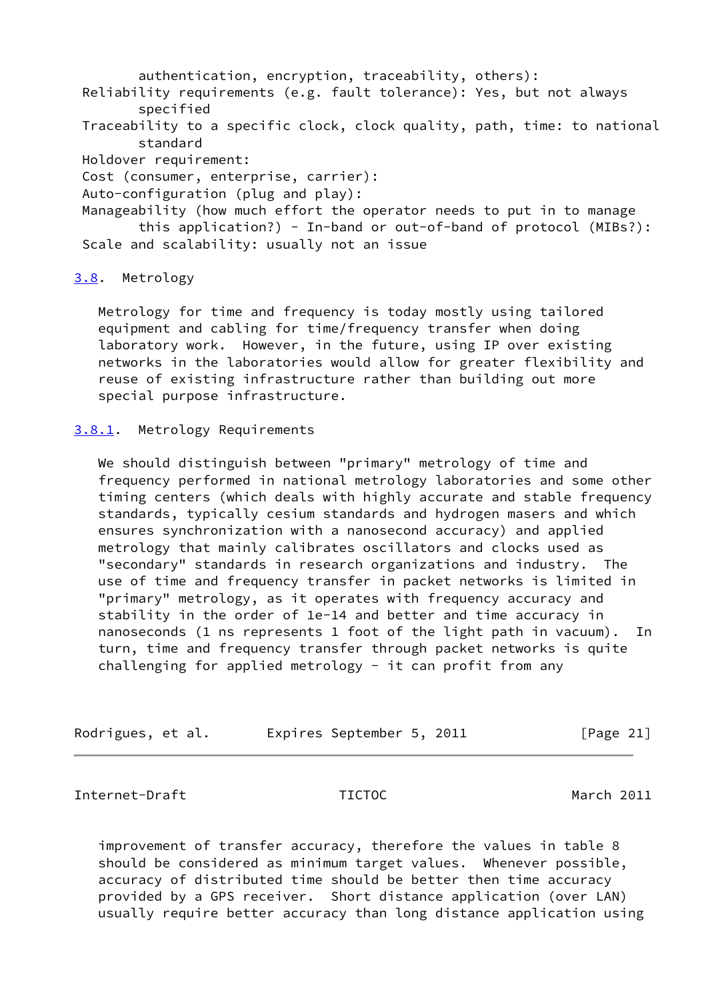authentication, encryption, traceability, others): Reliability requirements (e.g. fault tolerance): Yes, but not always specified Traceability to a specific clock, clock quality, path, time: to national standard Holdover requirement: Cost (consumer, enterprise, carrier): Auto-configuration (plug and play): Manageability (how much effort the operator needs to put in to manage this application?) - In-band or out-of-band of protocol (MIBs?): Scale and scalability: usually not an issue

## <span id="page-23-0"></span>[3.8](#page-23-0). Metrology

 Metrology for time and frequency is today mostly using tailored equipment and cabling for time/frequency transfer when doing laboratory work. However, in the future, using IP over existing networks in the laboratories would allow for greater flexibility and reuse of existing infrastructure rather than building out more special purpose infrastructure.

## <span id="page-23-1"></span>[3.8.1](#page-23-1). Metrology Requirements

 We should distinguish between "primary" metrology of time and frequency performed in national metrology laboratories and some other timing centers (which deals with highly accurate and stable frequency standards, typically cesium standards and hydrogen masers and which ensures synchronization with a nanosecond accuracy) and applied metrology that mainly calibrates oscillators and clocks used as "secondary" standards in research organizations and industry. The use of time and frequency transfer in packet networks is limited in "primary" metrology, as it operates with frequency accuracy and stability in the order of 1e-14 and better and time accuracy in nanoseconds (1 ns represents 1 foot of the light path in vacuum). In turn, time and frequency transfer through packet networks is quite challenging for applied metrology - it can profit from any

| Rodrigues, et al. | Expires September 5, 2011 | [Page 21] |
|-------------------|---------------------------|-----------|
|-------------------|---------------------------|-----------|

<span id="page-23-2"></span>Internet-Draft TICTOC March 2011

 improvement of transfer accuracy, therefore the values in table 8 should be considered as minimum target values. Whenever possible, accuracy of distributed time should be better then time accuracy provided by a GPS receiver. Short distance application (over LAN) usually require better accuracy than long distance application using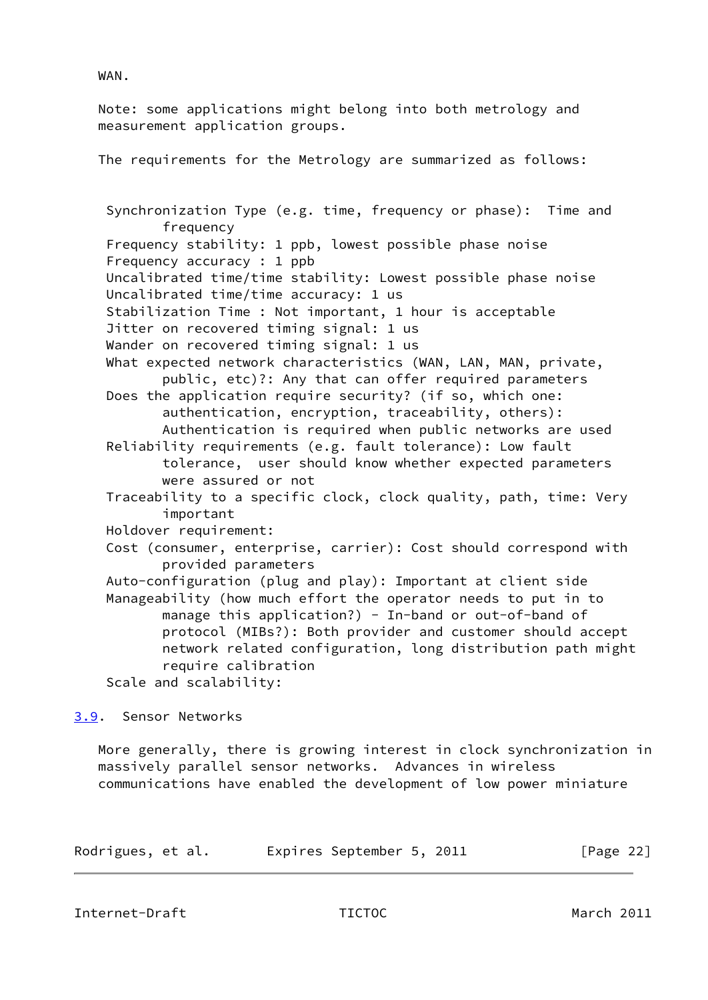WAN.

 Note: some applications might belong into both metrology and measurement application groups.

The requirements for the Metrology are summarized as follows:

 Synchronization Type (e.g. time, frequency or phase): Time and frequency Frequency stability: 1 ppb, lowest possible phase noise Frequency accuracy : 1 ppb Uncalibrated time/time stability: Lowest possible phase noise Uncalibrated time/time accuracy: 1 us Stabilization Time : Not important, 1 hour is acceptable Jitter on recovered timing signal: 1 us Wander on recovered timing signal: 1 us What expected network characteristics (WAN, LAN, MAN, private, public, etc)?: Any that can offer required parameters Does the application require security? (if so, which one: authentication, encryption, traceability, others): Authentication is required when public networks are used Reliability requirements (e.g. fault tolerance): Low fault tolerance, user should know whether expected parameters were assured or not Traceability to a specific clock, clock quality, path, time: Very important Holdover requirement: Cost (consumer, enterprise, carrier): Cost should correspond with provided parameters Auto-configuration (plug and play): Important at client side Manageability (how much effort the operator needs to put in to manage this application?) - In-band or out-of-band of protocol (MIBs?): Both provider and customer should accept network related configuration, long distribution path might require calibration Scale and scalability:

<span id="page-24-0"></span>[3.9](#page-24-0). Sensor Networks

 More generally, there is growing interest in clock synchronization in massively parallel sensor networks. Advances in wireless communications have enabled the development of low power miniature

| Rodrigues, et al. | Expires September 5, 2011 |  |  | [Page $22$ ] |  |
|-------------------|---------------------------|--|--|--------------|--|
|-------------------|---------------------------|--|--|--------------|--|

<span id="page-24-1"></span>Internet-Draft TICTOC March 2011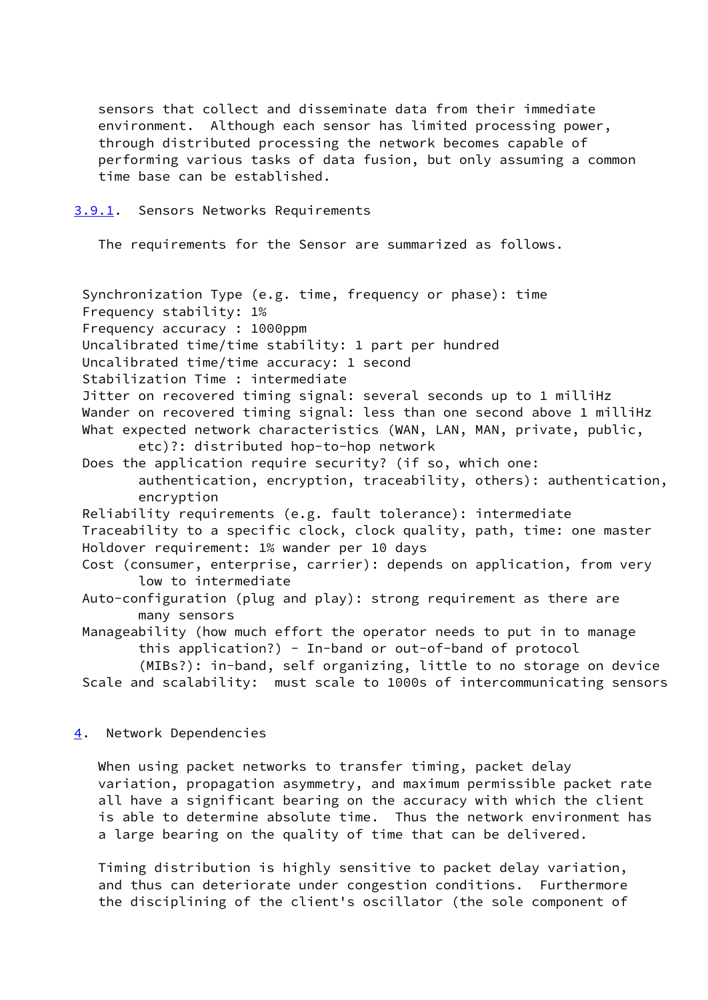sensors that collect and disseminate data from their immediate environment. Although each sensor has limited processing power, through distributed processing the network becomes capable of performing various tasks of data fusion, but only assuming a common time base can be established.

<span id="page-25-0"></span>[3.9.1](#page-25-0). Sensors Networks Requirements

The requirements for the Sensor are summarized as follows.

 Synchronization Type (e.g. time, frequency or phase): time Frequency stability: 1% Frequency accuracy : 1000ppm Uncalibrated time/time stability: 1 part per hundred Uncalibrated time/time accuracy: 1 second Stabilization Time : intermediate Jitter on recovered timing signal: several seconds up to 1 milliHz Wander on recovered timing signal: less than one second above 1 milliHz What expected network characteristics (WAN, LAN, MAN, private, public, etc)?: distributed hop-to-hop network Does the application require security? (if so, which one: authentication, encryption, traceability, others): authentication, encryption Reliability requirements (e.g. fault tolerance): intermediate Traceability to a specific clock, clock quality, path, time: one master Holdover requirement: 1% wander per 10 days Cost (consumer, enterprise, carrier): depends on application, from very low to intermediate Auto-configuration (plug and play): strong requirement as there are many sensors Manageability (how much effort the operator needs to put in to manage this application?) - In-band or out-of-band of protocol (MIBs?): in-band, self organizing, little to no storage on device Scale and scalability: must scale to 1000s of intercommunicating sensors

<span id="page-25-1"></span>[4](#page-25-1). Network Dependencies

 When using packet networks to transfer timing, packet delay variation, propagation asymmetry, and maximum permissible packet rate all have a significant bearing on the accuracy with which the client is able to determine absolute time. Thus the network environment has a large bearing on the quality of time that can be delivered.

 Timing distribution is highly sensitive to packet delay variation, and thus can deteriorate under congestion conditions. Furthermore the disciplining of the client's oscillator (the sole component of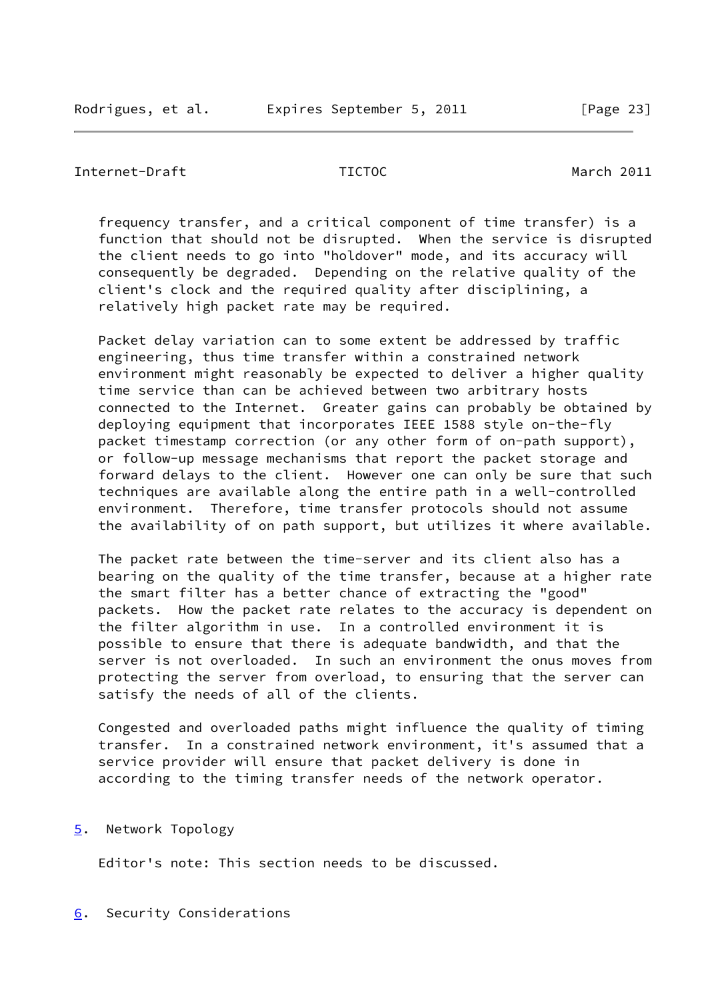### <span id="page-26-1"></span>Internet-Draft TICTOC March 2011

 frequency transfer, and a critical component of time transfer) is a function that should not be disrupted. When the service is disrupted the client needs to go into "holdover" mode, and its accuracy will consequently be degraded. Depending on the relative quality of the client's clock and the required quality after disciplining, a relatively high packet rate may be required.

 Packet delay variation can to some extent be addressed by traffic engineering, thus time transfer within a constrained network environment might reasonably be expected to deliver a higher quality time service than can be achieved between two arbitrary hosts connected to the Internet. Greater gains can probably be obtained by deploying equipment that incorporates IEEE 1588 style on-the-fly packet timestamp correction (or any other form of on-path support), or follow-up message mechanisms that report the packet storage and forward delays to the client. However one can only be sure that such techniques are available along the entire path in a well-controlled environment. Therefore, time transfer protocols should not assume the availability of on path support, but utilizes it where available.

 The packet rate between the time-server and its client also has a bearing on the quality of the time transfer, because at a higher rate the smart filter has a better chance of extracting the "good" packets. How the packet rate relates to the accuracy is dependent on the filter algorithm in use. In a controlled environment it is possible to ensure that there is adequate bandwidth, and that the server is not overloaded. In such an environment the onus moves from protecting the server from overload, to ensuring that the server can satisfy the needs of all of the clients.

 Congested and overloaded paths might influence the quality of timing transfer. In a constrained network environment, it's assumed that a service provider will ensure that packet delivery is done in according to the timing transfer needs of the network operator.

## <span id="page-26-0"></span>[5](#page-26-0). Network Topology

Editor's note: This section needs to be discussed.

## <span id="page-26-2"></span>[6](#page-26-2). Security Considerations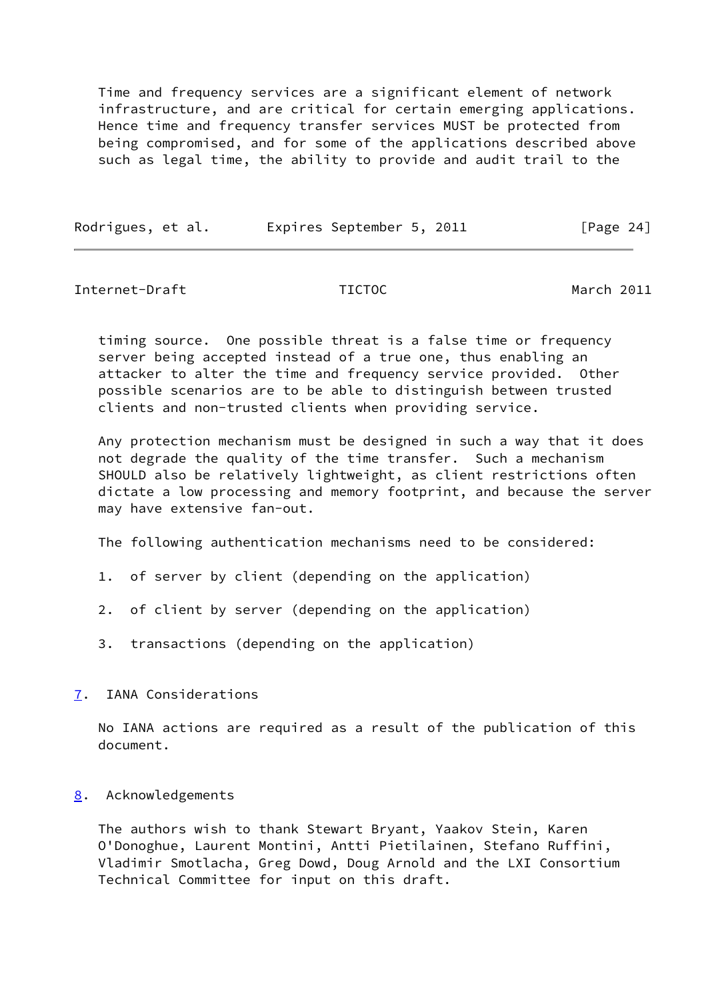Time and frequency services are a significant element of network infrastructure, and are critical for certain emerging applications. Hence time and frequency transfer services MUST be protected from being compromised, and for some of the applications described above such as legal time, the ability to provide and audit trail to the

| Rodrigues, et al. |  | Expires September 5, 2011 |  | [Page 24] |  |
|-------------------|--|---------------------------|--|-----------|--|
|                   |  |                           |  |           |  |

<span id="page-27-1"></span>Internet-Draft TICTOC March 2011

 timing source. One possible threat is a false time or frequency server being accepted instead of a true one, thus enabling an attacker to alter the time and frequency service provided. Other possible scenarios are to be able to distinguish between trusted clients and non-trusted clients when providing service.

 Any protection mechanism must be designed in such a way that it does not degrade the quality of the time transfer. Such a mechanism SHOULD also be relatively lightweight, as client restrictions often dictate a low processing and memory footprint, and because the server may have extensive fan-out.

The following authentication mechanisms need to be considered:

- 1. of server by client (depending on the application)
- 2. of client by server (depending on the application)
- 3. transactions (depending on the application)
- <span id="page-27-0"></span>[7](#page-27-0). IANA Considerations

 No IANA actions are required as a result of the publication of this document.

<span id="page-27-2"></span>[8](#page-27-2). Acknowledgements

 The authors wish to thank Stewart Bryant, Yaakov Stein, Karen O'Donoghue, Laurent Montini, Antti Pietilainen, Stefano Ruffini, Vladimir Smotlacha, Greg Dowd, Doug Arnold and the LXI Consortium Technical Committee for input on this draft.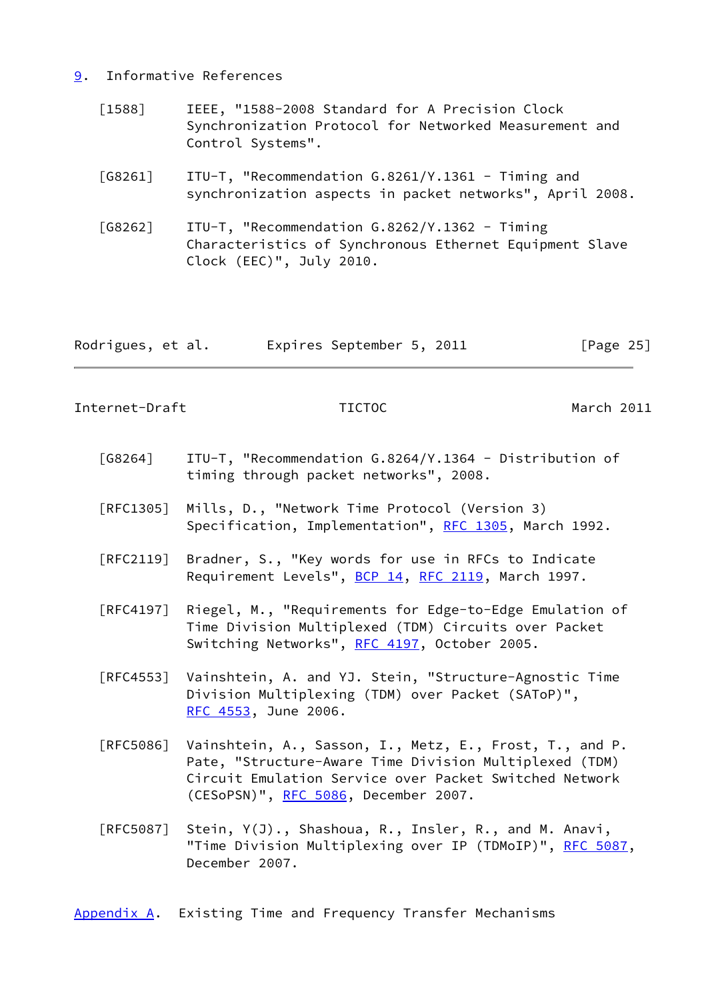### <span id="page-28-0"></span>[9](#page-28-0). Informative References

- <span id="page-28-3"></span> [1588] IEEE, "1588-2008 Standard for A Precision Clock Synchronization Protocol for Networked Measurement and Control Systems".
- <span id="page-28-4"></span> [G8261] ITU-T, "Recommendation G.8261/Y.1361 - Timing and synchronization aspects in packet networks", April 2008.
- <span id="page-28-5"></span> [G8262] ITU-T, "Recommendation G.8262/Y.1362 - Timing Characteristics of Synchronous Ethernet Equipment Slave Clock (EEC)", July 2010.

| Rodrigues, et al. | Expires September 5, 2011 |  | [Page 25] |
|-------------------|---------------------------|--|-----------|
|-------------------|---------------------------|--|-----------|

<span id="page-28-2"></span>Internet-Draft TICTOC March 2011

- <span id="page-28-6"></span> [G8264] ITU-T, "Recommendation G.8264/Y.1364 - Distribution of timing through packet networks", 2008.
- [RFC1305] Mills, D., "Network Time Protocol (Version 3) Specification, Implementation", [RFC 1305,](https://datatracker.ietf.org/doc/pdf/rfc1305) March 1992.
- [RFC2119] Bradner, S., "Key words for use in RFCs to Indicate Requirement Levels", [BCP 14](https://datatracker.ietf.org/doc/pdf/bcp14), [RFC 2119](https://datatracker.ietf.org/doc/pdf/rfc2119), March 1997.
- [RFC4197] Riegel, M., "Requirements for Edge-to-Edge Emulation of Time Division Multiplexed (TDM) Circuits over Packet Switching Networks", [RFC 4197](https://datatracker.ietf.org/doc/pdf/rfc4197), October 2005.
- [RFC4553] Vainshtein, A. and YJ. Stein, "Structure-Agnostic Time Division Multiplexing (TDM) over Packet (SAToP)", [RFC 4553,](https://datatracker.ietf.org/doc/pdf/rfc4553) June 2006.
- [RFC5086] Vainshtein, A., Sasson, I., Metz, E., Frost, T., and P. Pate, "Structure-Aware Time Division Multiplexed (TDM) Circuit Emulation Service over Packet Switched Network (CESoPSN)", [RFC 5086,](https://datatracker.ietf.org/doc/pdf/rfc5086) December 2007.
- [RFC5087] Stein, Y(J)., Shashoua, R., Insler, R., and M. Anavi, "Time Division Multiplexing over IP (TDMoIP)", [RFC 5087](https://datatracker.ietf.org/doc/pdf/rfc5087), December 2007.

<span id="page-28-1"></span>[Appendix A.](#page-28-1) Existing Time and Frequency Transfer Mechanisms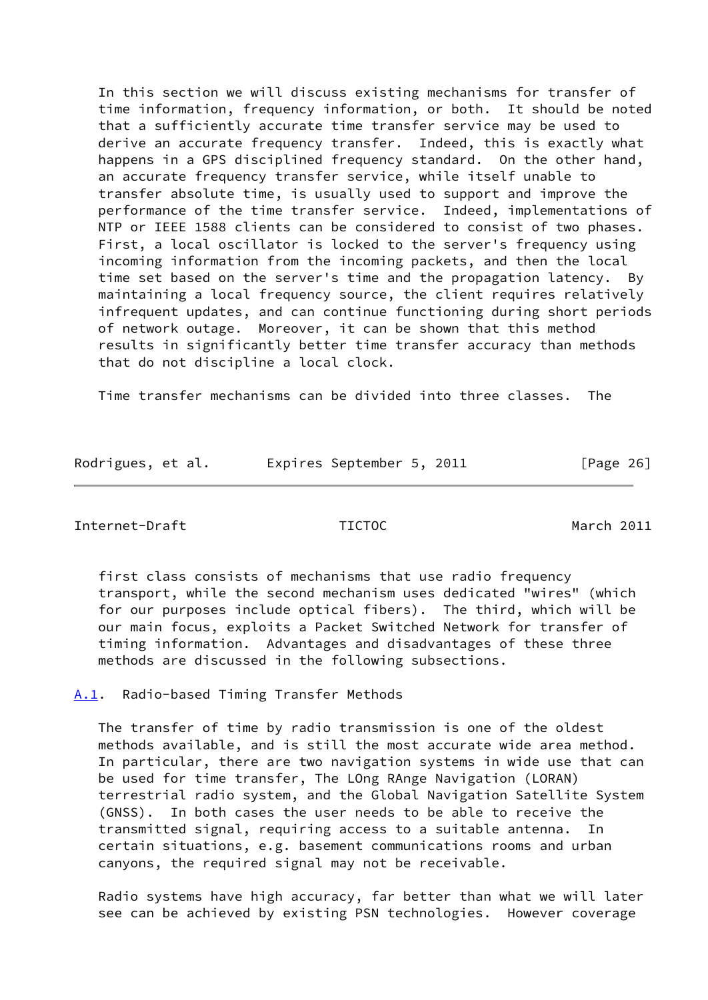In this section we will discuss existing mechanisms for transfer of time information, frequency information, or both. It should be noted that a sufficiently accurate time transfer service may be used to derive an accurate frequency transfer. Indeed, this is exactly what happens in a GPS disciplined frequency standard. On the other hand, an accurate frequency transfer service, while itself unable to transfer absolute time, is usually used to support and improve the performance of the time transfer service. Indeed, implementations of NTP or IEEE 1588 clients can be considered to consist of two phases. First, a local oscillator is locked to the server's frequency using incoming information from the incoming packets, and then the local time set based on the server's time and the propagation latency. By maintaining a local frequency source, the client requires relatively infrequent updates, and can continue functioning during short periods of network outage. Moreover, it can be shown that this method results in significantly better time transfer accuracy than methods that do not discipline a local clock.

Time transfer mechanisms can be divided into three classes. The

| Rodrigues, et al. | Expires September 5, 2011 | [Page 26] |
|-------------------|---------------------------|-----------|
|-------------------|---------------------------|-----------|

<span id="page-29-1"></span>Internet-Draft TICTOC March 2011

 first class consists of mechanisms that use radio frequency transport, while the second mechanism uses dedicated "wires" (which for our purposes include optical fibers). The third, which will be our main focus, exploits a Packet Switched Network for transfer of timing information. Advantages and disadvantages of these three methods are discussed in the following subsections.

<span id="page-29-0"></span>[A.1](#page-29-0). Radio-based Timing Transfer Methods

 The transfer of time by radio transmission is one of the oldest methods available, and is still the most accurate wide area method. In particular, there are two navigation systems in wide use that can be used for time transfer, The LOng RAnge Navigation (LORAN) terrestrial radio system, and the Global Navigation Satellite System (GNSS). In both cases the user needs to be able to receive the transmitted signal, requiring access to a suitable antenna. In certain situations, e.g. basement communications rooms and urban canyons, the required signal may not be receivable.

 Radio systems have high accuracy, far better than what we will later see can be achieved by existing PSN technologies. However coverage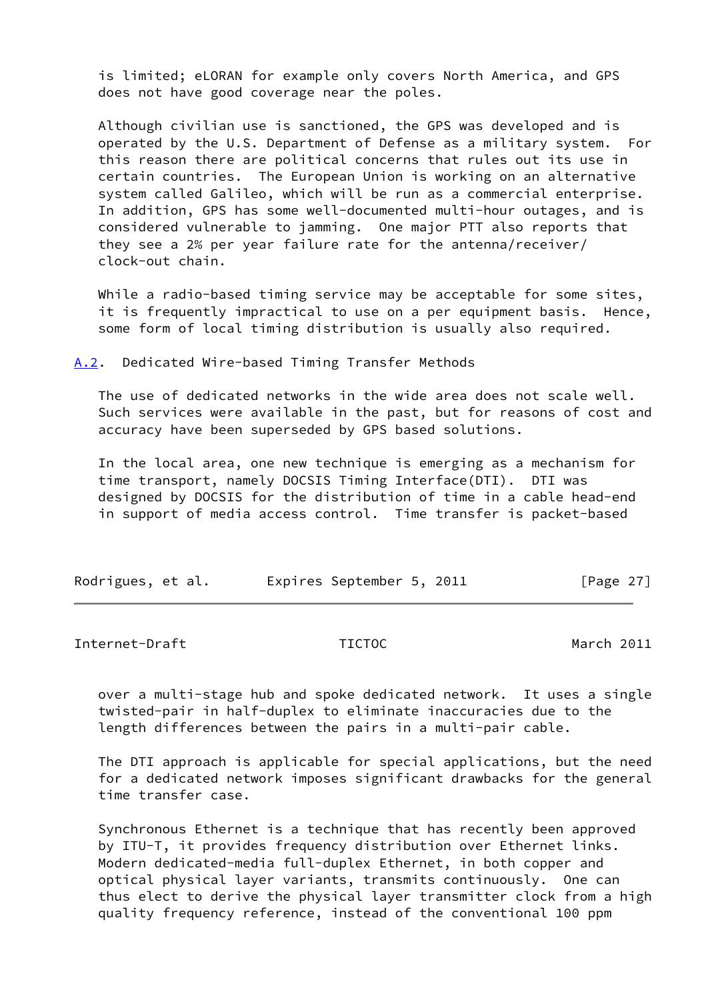is limited; eLORAN for example only covers North America, and GPS does not have good coverage near the poles.

 Although civilian use is sanctioned, the GPS was developed and is operated by the U.S. Department of Defense as a military system. For this reason there are political concerns that rules out its use in certain countries. The European Union is working on an alternative system called Galileo, which will be run as a commercial enterprise. In addition, GPS has some well-documented multi-hour outages, and is considered vulnerable to jamming. One major PTT also reports that they see a 2% per year failure rate for the antenna/receiver/ clock-out chain.

While a radio-based timing service may be acceptable for some sites, it is frequently impractical to use on a per equipment basis. Hence, some form of local timing distribution is usually also required.

<span id="page-30-0"></span>[A.2](#page-30-0). Dedicated Wire-based Timing Transfer Methods

 The use of dedicated networks in the wide area does not scale well. Such services were available in the past, but for reasons of cost and accuracy have been superseded by GPS based solutions.

 In the local area, one new technique is emerging as a mechanism for time transport, namely DOCSIS Timing Interface(DTI). DTI was designed by DOCSIS for the distribution of time in a cable head-end in support of media access control. Time transfer is packet-based

| Rodrigues, et al. | Expires September 5, 2011 | [Page 27] |
|-------------------|---------------------------|-----------|
|-------------------|---------------------------|-----------|

<span id="page-30-1"></span>Internet-Draft TICTOC March 2011

 over a multi-stage hub and spoke dedicated network. It uses a single twisted-pair in half-duplex to eliminate inaccuracies due to the length differences between the pairs in a multi-pair cable.

 The DTI approach is applicable for special applications, but the need for a dedicated network imposes significant drawbacks for the general time transfer case.

 Synchronous Ethernet is a technique that has recently been approved by ITU-T, it provides frequency distribution over Ethernet links. Modern dedicated-media full-duplex Ethernet, in both copper and optical physical layer variants, transmits continuously. One can thus elect to derive the physical layer transmitter clock from a high quality frequency reference, instead of the conventional 100 ppm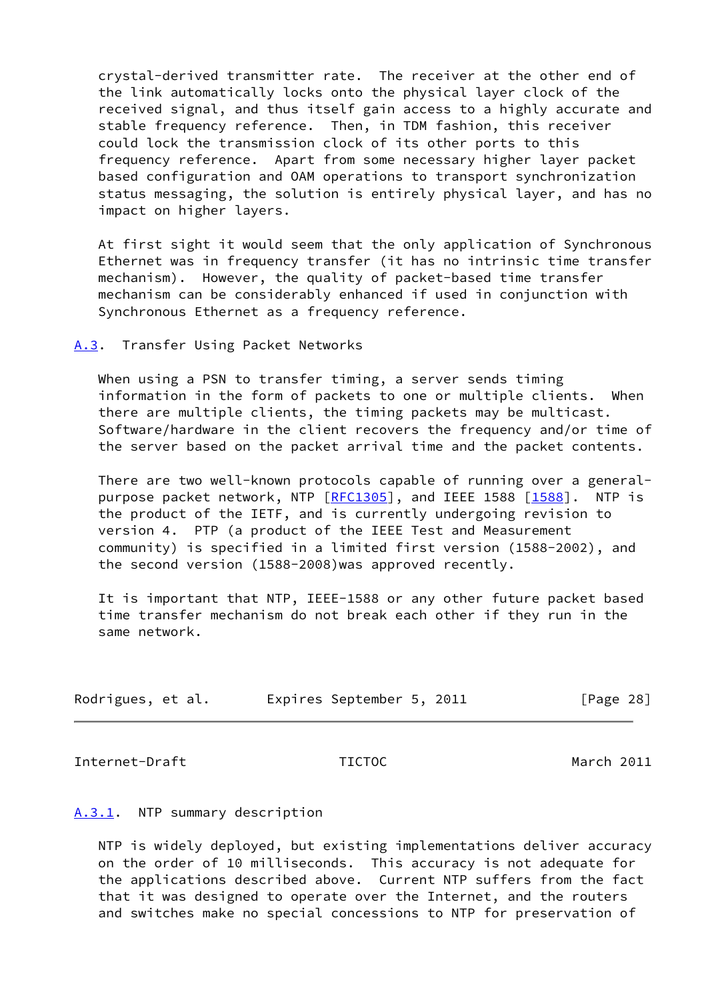crystal-derived transmitter rate. The receiver at the other end of the link automatically locks onto the physical layer clock of the received signal, and thus itself gain access to a highly accurate and stable frequency reference. Then, in TDM fashion, this receiver could lock the transmission clock of its other ports to this frequency reference. Apart from some necessary higher layer packet based configuration and OAM operations to transport synchronization status messaging, the solution is entirely physical layer, and has no impact on higher layers.

 At first sight it would seem that the only application of Synchronous Ethernet was in frequency transfer (it has no intrinsic time transfer mechanism). However, the quality of packet-based time transfer mechanism can be considerably enhanced if used in conjunction with Synchronous Ethernet as a frequency reference.

# <span id="page-31-0"></span>[A.3](#page-31-0). Transfer Using Packet Networks

When using a PSN to transfer timing, a server sends timing information in the form of packets to one or multiple clients. When there are multiple clients, the timing packets may be multicast. Software/hardware in the client recovers the frequency and/or time of the server based on the packet arrival time and the packet contents.

 There are two well-known protocols capable of running over a general- purpose packet network, NTP [\[RFC1305](https://datatracker.ietf.org/doc/pdf/rfc1305)], and IEEE 1588 [\[1588](#page-28-3)]. NTP is the product of the IETF, and is currently undergoing revision to version 4. PTP (a product of the IEEE Test and Measurement community) is specified in a limited first version (1588-2002), and the second version (1588-2008)was approved recently.

 It is important that NTP, IEEE-1588 or any other future packet based time transfer mechanism do not break each other if they run in the same network.

| Rodrigues, et al. | Expires September 5, 2011 |  | [Page 28] |
|-------------------|---------------------------|--|-----------|
|-------------------|---------------------------|--|-----------|

<span id="page-31-2"></span>Internet-Draft TICTOC March 2011

### <span id="page-31-1"></span>[A.3.1](#page-31-1). NTP summary description

 NTP is widely deployed, but existing implementations deliver accuracy on the order of 10 milliseconds. This accuracy is not adequate for the applications described above. Current NTP suffers from the fact that it was designed to operate over the Internet, and the routers and switches make no special concessions to NTP for preservation of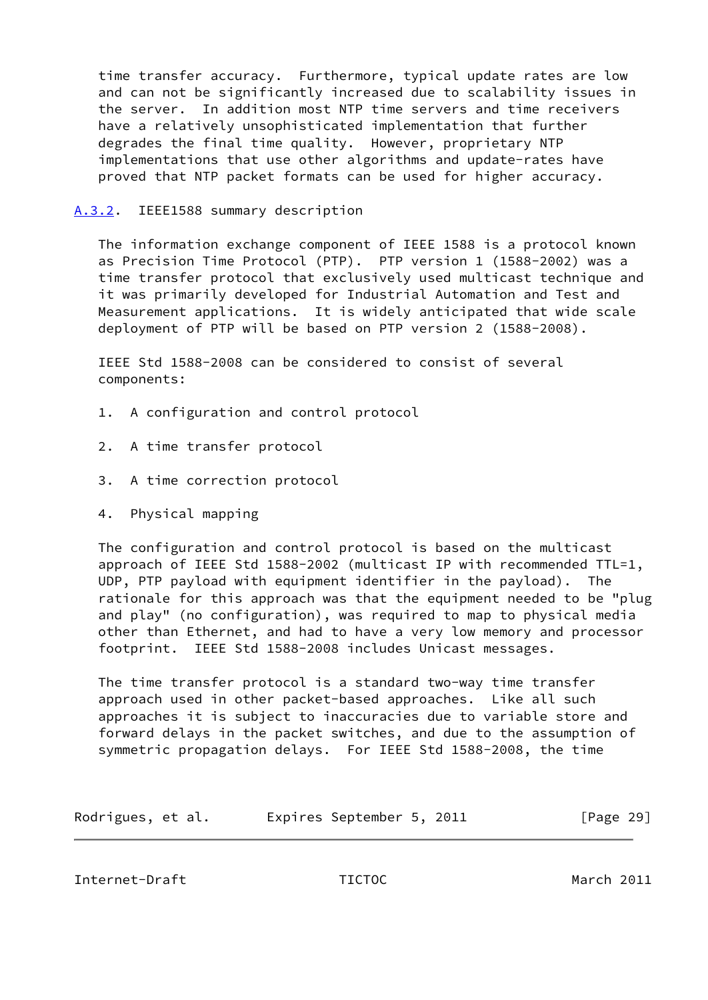time transfer accuracy. Furthermore, typical update rates are low and can not be significantly increased due to scalability issues in the server. In addition most NTP time servers and time receivers have a relatively unsophisticated implementation that further degrades the final time quality. However, proprietary NTP implementations that use other algorithms and update-rates have proved that NTP packet formats can be used for higher accuracy.

<span id="page-32-0"></span>[A.3.2](#page-32-0). IEEE1588 summary description

 The information exchange component of IEEE 1588 is a protocol known as Precision Time Protocol (PTP). PTP version 1 (1588-2002) was a time transfer protocol that exclusively used multicast technique and it was primarily developed for Industrial Automation and Test and Measurement applications. It is widely anticipated that wide scale deployment of PTP will be based on PTP version 2 (1588-2008).

 IEEE Std 1588-2008 can be considered to consist of several components:

- 1. A configuration and control protocol
- 2. A time transfer protocol
- 3. A time correction protocol
- 4. Physical mapping

 The configuration and control protocol is based on the multicast approach of IEEE Std 1588-2002 (multicast IP with recommended TTL=1, UDP, PTP payload with equipment identifier in the payload). The rationale for this approach was that the equipment needed to be "plug and play" (no configuration), was required to map to physical media other than Ethernet, and had to have a very low memory and processor footprint. IEEE Std 1588-2008 includes Unicast messages.

 The time transfer protocol is a standard two-way time transfer approach used in other packet-based approaches. Like all such approaches it is subject to inaccuracies due to variable store and forward delays in the packet switches, and due to the assumption of symmetric propagation delays. For IEEE Std 1588-2008, the time

| Rodrigues, et al. | Expires September 5, 2011 | [Page 29] |
|-------------------|---------------------------|-----------|
|-------------------|---------------------------|-----------|

<span id="page-32-1"></span>Internet-Draft TICTOC March 2011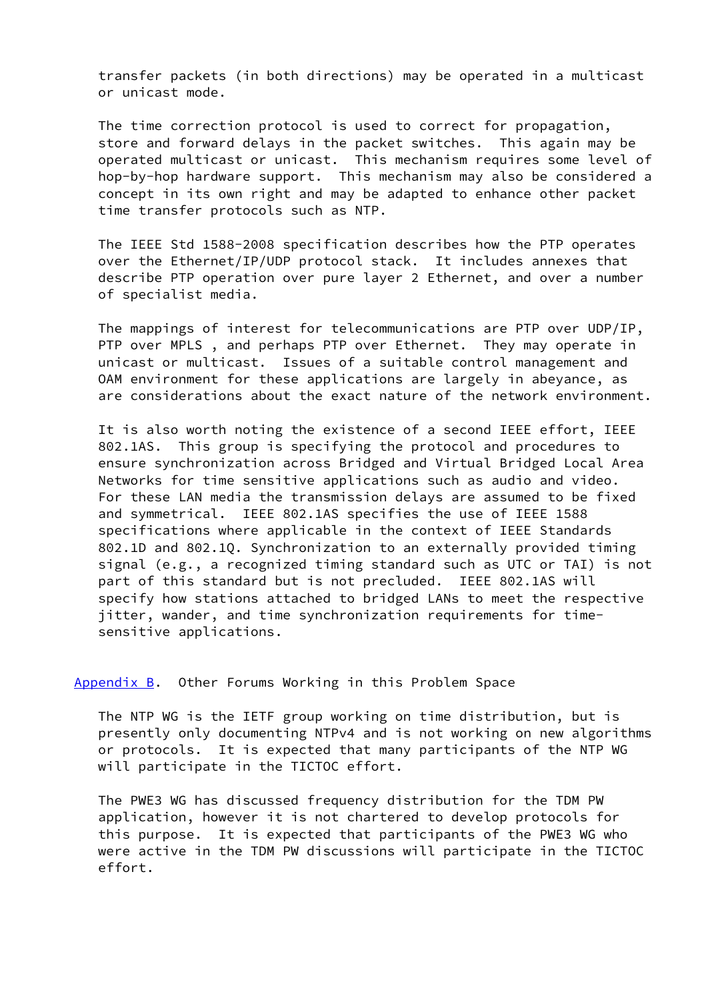transfer packets (in both directions) may be operated in a multicast or unicast mode.

 The time correction protocol is used to correct for propagation, store and forward delays in the packet switches. This again may be operated multicast or unicast. This mechanism requires some level of hop-by-hop hardware support. This mechanism may also be considered a concept in its own right and may be adapted to enhance other packet time transfer protocols such as NTP.

 The IEEE Std 1588-2008 specification describes how the PTP operates over the Ethernet/IP/UDP protocol stack. It includes annexes that describe PTP operation over pure layer 2 Ethernet, and over a number of specialist media.

 The mappings of interest for telecommunications are PTP over UDP/IP, PTP over MPLS, and perhaps PTP over Ethernet. They may operate in unicast or multicast. Issues of a suitable control management and OAM environment for these applications are largely in abeyance, as are considerations about the exact nature of the network environment.

 It is also worth noting the existence of a second IEEE effort, IEEE 802.1AS. This group is specifying the protocol and procedures to ensure synchronization across Bridged and Virtual Bridged Local Area Networks for time sensitive applications such as audio and video. For these LAN media the transmission delays are assumed to be fixed and symmetrical. IEEE 802.1AS specifies the use of IEEE 1588 specifications where applicable in the context of IEEE Standards 802.1D and 802.1Q. Synchronization to an externally provided timing signal (e.g., a recognized timing standard such as UTC or TAI) is not part of this standard but is not precluded. IEEE 802.1AS will specify how stations attached to bridged LANs to meet the respective jitter, wander, and time synchronization requirements for time sensitive applications.

<span id="page-33-0"></span>[Appendix B.](#page-33-0) Other Forums Working in this Problem Space

 The NTP WG is the IETF group working on time distribution, but is presently only documenting NTPv4 and is not working on new algorithms or protocols. It is expected that many participants of the NTP WG will participate in the TICTOC effort.

 The PWE3 WG has discussed frequency distribution for the TDM PW application, however it is not chartered to develop protocols for this purpose. It is expected that participants of the PWE3 WG who were active in the TDM PW discussions will participate in the TICTOC effort.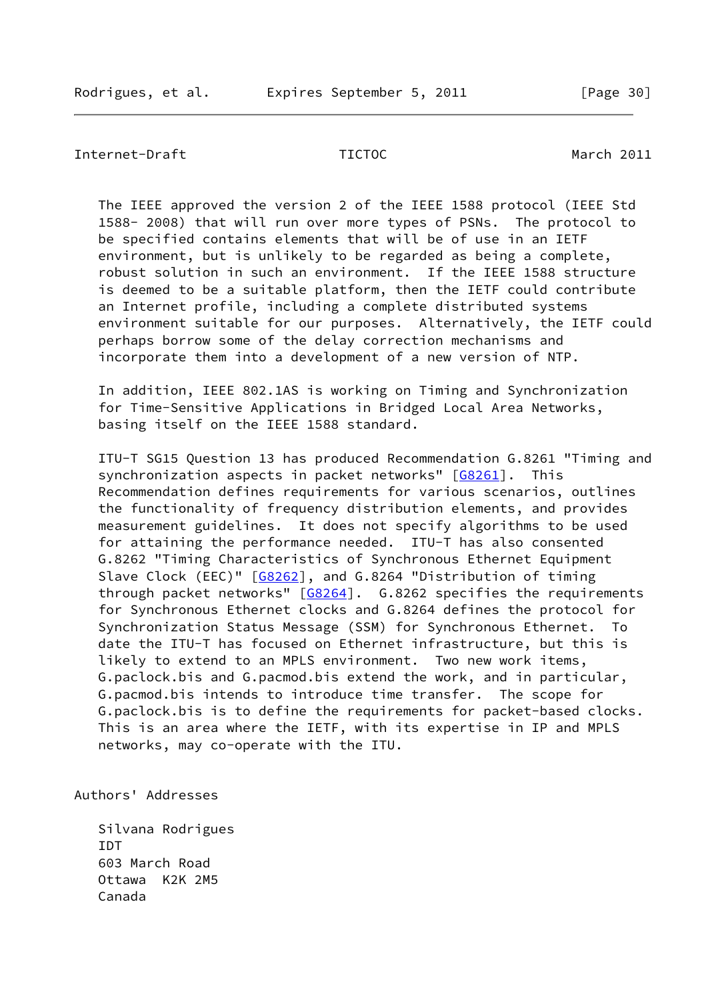<span id="page-34-0"></span>Internet-Draft TICTOC March 2011

 The IEEE approved the version 2 of the IEEE 1588 protocol (IEEE Std 1588- 2008) that will run over more types of PSNs. The protocol to be specified contains elements that will be of use in an IETF environment, but is unlikely to be regarded as being a complete, robust solution in such an environment. If the IEEE 1588 structure is deemed to be a suitable platform, then the IETF could contribute an Internet profile, including a complete distributed systems environment suitable for our purposes. Alternatively, the IETF could perhaps borrow some of the delay correction mechanisms and incorporate them into a development of a new version of NTP.

 In addition, IEEE 802.1AS is working on Timing and Synchronization for Time-Sensitive Applications in Bridged Local Area Networks, basing itself on the IEEE 1588 standard.

 ITU-T SG15 Question 13 has produced Recommendation G.8261 "Timing and synchronization aspects in packet networks" [\[G8261](#page-28-4)]. This Recommendation defines requirements for various scenarios, outlines the functionality of frequency distribution elements, and provides measurement guidelines. It does not specify algorithms to be used for attaining the performance needed. ITU-T has also consented G.8262 "Timing Characteristics of Synchronous Ethernet Equipment Slave Clock (EEC)" [[G8262\]](#page-28-5), and G.8264 "Distribution of timing through packet networks" [\[G8264\]](#page-28-6). G.8262 specifies the requirements for Synchronous Ethernet clocks and G.8264 defines the protocol for Synchronization Status Message (SSM) for Synchronous Ethernet. To date the ITU-T has focused on Ethernet infrastructure, but this is likely to extend to an MPLS environment. Two new work items, G.paclock.bis and G.pacmod.bis extend the work, and in particular, G.pacmod.bis intends to introduce time transfer. The scope for G.paclock.bis is to define the requirements for packet-based clocks. This is an area where the IETF, with its expertise in IP and MPLS networks, may co-operate with the ITU.

Authors' Addresses

 Silvana Rodrigues **TDT**  603 March Road Ottawa K2K 2M5 Canada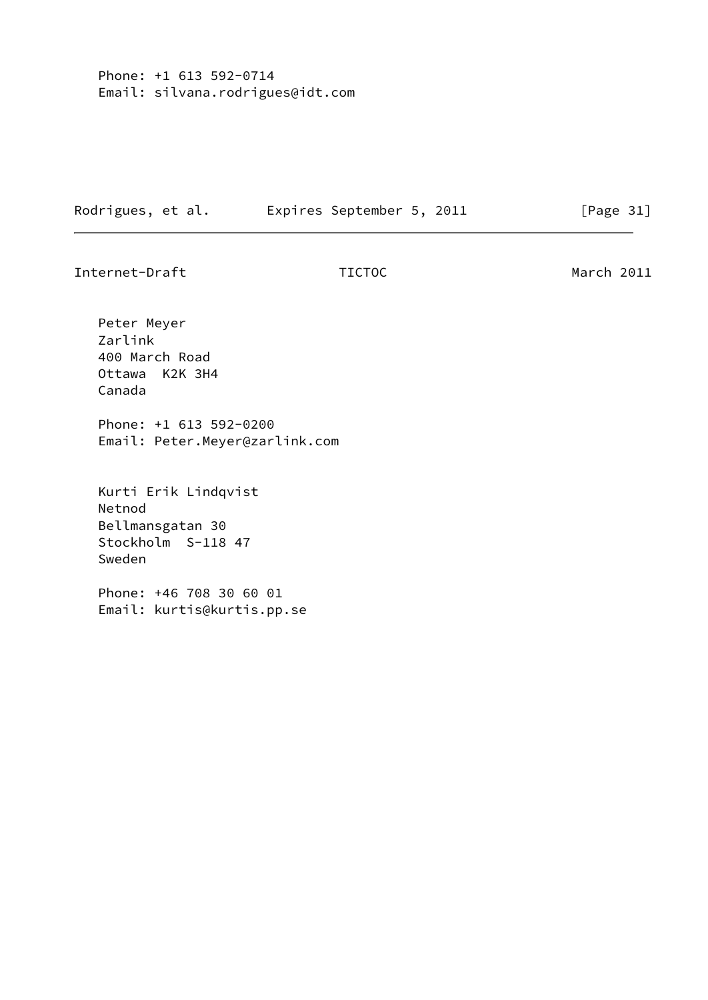Phone: +1 613 592-0714 Email: silvana.rodrigues@idt.com

Rodrigues, et al. Expires September 5, 2011 [Page 31]

Internet-Draft TICTOC March 2011

 Peter Meyer Zarlink 400 March Road Ottawa K2K 3H4 Canada Phone: +1 613 592-0200 Email: Peter.Meyer@zarlink.com Kurti Erik Lindqvist Netnod Bellmansgatan 30 Stockholm S-118 47 Sweden Phone: +46 708 30 60 01 Email: kurtis@kurtis.pp.se